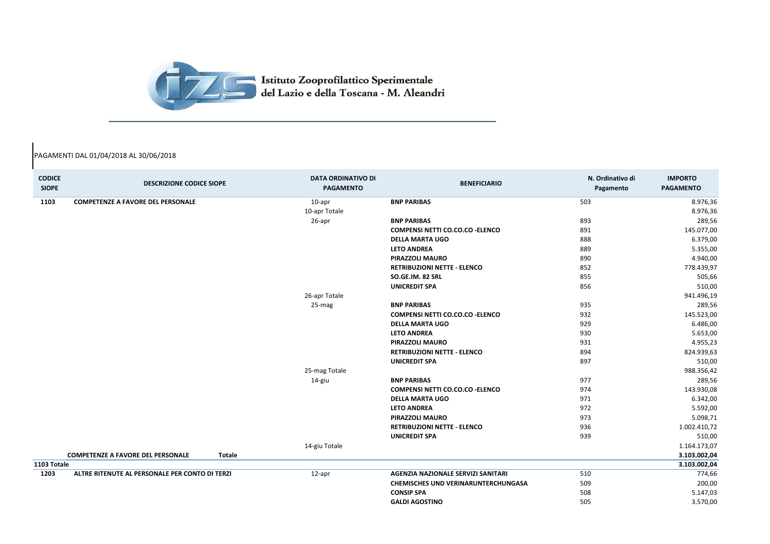| <b>CODICE</b><br><b>SIOPE</b> | <b>DESCRIZIONE CODICE SIOPE</b>                           | <b>DATA ORDINATIVO DI</b><br><b>PAGAMENTO</b> | <b>BENEFICIARIO</b>                        | N. Ordinativo di<br>Pagamento | <b>IMPORTO</b><br><b>PAGAMENTO</b> |
|-------------------------------|-----------------------------------------------------------|-----------------------------------------------|--------------------------------------------|-------------------------------|------------------------------------|
| 1103                          | <b>COMPETENZE A FAVORE DEL PERSONALE</b>                  | 10-apr                                        | <b>BNP PARIBAS</b>                         | 503                           | 8.976,36                           |
|                               |                                                           | 10-apr Totale                                 |                                            |                               | 8.976,36                           |
|                               |                                                           | 26-apr                                        | <b>BNP PARIBAS</b>                         | 893                           | 289,56                             |
|                               |                                                           |                                               | <b>COMPENSI NETTI CO.CO.CO - ELENCO</b>    | 891                           | 145.077,00                         |
|                               |                                                           |                                               | <b>DELLA MARTA UGO</b>                     | 888                           | 6.379,00                           |
|                               |                                                           |                                               | <b>LETO ANDREA</b>                         | 889                           | 5.355,00                           |
|                               |                                                           |                                               | <b>PIRAZZOLI MAURO</b>                     | 890                           | 4.940,00                           |
|                               |                                                           |                                               | <b>RETRIBUZIONI NETTE - ELENCO</b>         | 852                           | 778.439,97                         |
|                               |                                                           |                                               | SO.GE.IM. 82 SRL                           | 855                           | 505,66                             |
|                               |                                                           |                                               | <b>UNICREDIT SPA</b>                       | 856                           | 510,00                             |
|                               |                                                           | 26-apr Totale                                 |                                            |                               | 941.496,19                         |
|                               |                                                           | 25-mag                                        | <b>BNP PARIBAS</b>                         | 935                           | 289,56                             |
|                               |                                                           |                                               | <b>COMPENSI NETTI CO.CO.CO - ELENCO</b>    | 932                           | 145.523,00                         |
|                               |                                                           |                                               | <b>DELLA MARTA UGO</b>                     | 929                           | 6.486,00                           |
|                               |                                                           |                                               | <b>LETO ANDREA</b>                         | 930                           | 5.653,00                           |
|                               |                                                           |                                               | <b>PIRAZZOLI MAURO</b>                     | 931                           | 4.955,23                           |
|                               |                                                           |                                               | <b>RETRIBUZIONI NETTE - ELENCO</b>         | 894                           | 824.939,63                         |
|                               |                                                           |                                               | <b>UNICREDIT SPA</b>                       | 897                           | 510,00                             |
|                               |                                                           | 25-mag Totale                                 |                                            |                               | 988.356,42                         |
|                               |                                                           | 14-giu                                        | <b>BNP PARIBAS</b>                         | 977                           | 289,56                             |
|                               |                                                           |                                               | <b>COMPENSI NETTI CO.CO.CO - ELENCO</b>    | 974                           | 143.930,08                         |
|                               |                                                           |                                               | <b>DELLA MARTA UGO</b>                     | 971                           | 6.342,00                           |
|                               |                                                           |                                               | <b>LETO ANDREA</b>                         | 972                           | 5.592,00                           |
|                               |                                                           |                                               | <b>PIRAZZOLI MAURO</b>                     | 973                           | 5.098,71                           |
|                               |                                                           |                                               | <b>RETRIBUZIONI NETTE - ELENCO</b>         | 936                           | 1.002.410,72                       |
|                               |                                                           |                                               | <b>UNICREDIT SPA</b>                       | 939                           | 510,00                             |
|                               |                                                           | 14-giu Totale                                 |                                            |                               | 1.164.173,07                       |
|                               | <b>COMPETENZE A FAVORE DEL PERSONALE</b><br><b>Totale</b> |                                               |                                            |                               | 3.103.002,04                       |
| 1103 Totale                   |                                                           |                                               |                                            |                               | 3.103.002,04                       |
| 1203                          | ALTRE RITENUTE AL PERSONALE PER CONTO DI TERZI            | 12-apr                                        | AGENZIA NAZIONALE SERVIZI SANITARI         | 510                           | 774,66                             |
|                               |                                                           |                                               | <b>CHEMISCHES UND VERINARUNTERCHUNGASA</b> | 509                           | 200,00                             |
|                               |                                                           |                                               | <b>CONSIP SPA</b>                          | 508                           | 5.147,03                           |
|                               |                                                           |                                               | <b>GALDI AGOSTINO</b>                      | 505                           | 3.570,00                           |



## PAGAMENTI DAL 01/04/2018 AL 30/06/2018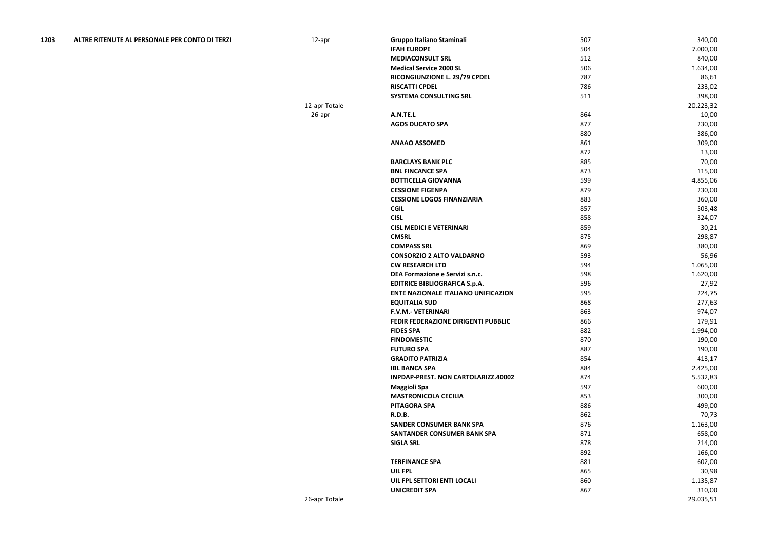| 1203 | ALTRE RITENUTE AL PERSONALE PER CONTO DI TERZI | 12-apr        | <b>Gruppo Italiano Staminali</b>           | 507 | 340,00    |
|------|------------------------------------------------|---------------|--------------------------------------------|-----|-----------|
|      |                                                |               | <b>IFAH EUROPE</b>                         | 504 | 7.000,00  |
|      |                                                |               | <b>MEDIACONSULT SRL</b>                    | 512 | 840,00    |
|      |                                                |               | <b>Medical Service 2000 SL</b>             | 506 | 1.634,00  |
|      |                                                |               | RICONGIUNZIONE L. 29/79 CPDEL              | 787 | 86,61     |
|      |                                                |               | <b>RISCATTI CPDEL</b>                      | 786 | 233,02    |
|      |                                                |               | SYSTEMA CONSULTING SRL                     | 511 | 398,00    |
|      |                                                | 12-apr Totale |                                            |     | 20.223,32 |
|      |                                                | 26-apr        | A.N.TE.L                                   | 864 | 10,00     |
|      |                                                |               | <b>AGOS DUCATO SPA</b>                     | 877 | 230,00    |
|      |                                                |               |                                            | 880 | 386,00    |
|      |                                                |               | <b>ANAAO ASSOMED</b>                       | 861 | 309,00    |
|      |                                                |               |                                            | 872 | 13,00     |
|      |                                                |               | <b>BARCLAYS BANK PLC</b>                   | 885 | 70,00     |
|      |                                                |               | <b>BNL FINCANCE SPA</b>                    | 873 | 115,00    |
|      |                                                |               | <b>BOTTICELLA GIOVANNA</b>                 | 599 | 4.855,06  |
|      |                                                |               | <b>CESSIONE FIGENPA</b>                    | 879 | 230,00    |
|      |                                                |               | <b>CESSIONE LOGOS FINANZIARIA</b>          | 883 | 360,00    |
|      |                                                |               | <b>CGIL</b>                                | 857 | 503,48    |
|      |                                                |               | <b>CISL</b>                                | 858 | 324,07    |
|      |                                                |               | <b>CISL MEDICI E VETERINARI</b>            | 859 | 30,21     |
|      |                                                |               | <b>CMSRL</b>                               | 875 | 298,87    |
|      |                                                |               | <b>COMPASS SRL</b>                         | 869 |           |
|      |                                                |               |                                            | 593 | 380,00    |
|      |                                                |               | <b>CONSORZIO 2 ALTO VALDARNO</b>           |     | 56,96     |
|      |                                                |               | <b>CW RESEARCH LTD</b>                     | 594 | 1.065,00  |
|      |                                                |               | DEA Formazione e Servizi s.n.c.            | 598 | 1.620,00  |
|      |                                                |               | <b>EDITRICE BIBLIOGRAFICA S.p.A.</b>       | 596 | 27,92     |
|      |                                                |               | <b>ENTE NAZIONALE ITALIANO UNIFICAZION</b> | 595 | 224,75    |
|      |                                                |               | <b>EQUITALIA SUD</b>                       | 868 | 277,63    |
|      |                                                |               | F.V.M.- VETERINARI                         | 863 | 974,07    |
|      |                                                |               | FEDIR FEDERAZIONE DIRIGENTI PUBBLIC        | 866 | 179,91    |
|      |                                                |               | <b>FIDES SPA</b>                           | 882 | 1.994,00  |
|      |                                                |               | <b>FINDOMESTIC</b>                         | 870 | 190,00    |
|      |                                                |               | <b>FUTURO SPA</b>                          | 887 | 190,00    |
|      |                                                |               | <b>GRADITO PATRIZIA</b>                    | 854 | 413,17    |
|      |                                                |               | <b>IBL BANCA SPA</b>                       | 884 | 2.425,00  |
|      |                                                |               | INPDAP-PREST. NON CARTOLARIZZ.40002        | 874 | 5.532,83  |
|      |                                                |               | <b>Maggioli Spa</b>                        | 597 | 600,00    |
|      |                                                |               | <b>MASTRONICOLA CECILIA</b>                | 853 | 300,00    |
|      |                                                |               | <b>PITAGORA SPA</b>                        | 886 | 499,00    |
|      |                                                |               | <b>R.D.B.</b>                              | 862 | 70,73     |
|      |                                                |               | <b>SANDER CONSUMER BANK SPA</b>            | 876 | 1.163,00  |
|      |                                                |               | SANTANDER CONSUMER BANK SPA                | 871 | 658,00    |
|      |                                                |               | <b>SIGLA SRL</b>                           | 878 | 214,00    |
|      |                                                |               |                                            | 892 | 166,00    |
|      |                                                |               | <b>TERFINANCE SPA</b>                      | 881 | 602,00    |
|      |                                                |               | UIL FPL                                    | 865 | 30,98     |
|      |                                                |               | UIL FPL SETTORI ENTI LOCALI                | 860 | 1.135,87  |
|      |                                                |               | <b>UNICREDIT SPA</b>                       | 867 | 310,00    |
|      |                                                | 26-apr Totale |                                            |     | 29.035,51 |

| 507 | 340,00    |
|-----|-----------|
| 504 | 7.000,00  |
| 512 | 840,00    |
| 506 | 1.634,00  |
| 787 | 86,61     |
| 786 | 233,02    |
| 511 | 398,00    |
|     | 20.223,32 |
| 864 | 10,00     |
| 877 | 230,00    |
| 880 | 386,00    |
| 861 | 309,00    |
| 872 | 13,00     |
| 885 | 70,00     |
| 873 | 115,00    |
| 599 | 4.855,06  |
| 879 | 230,00    |
| 883 | 360,00    |
| 857 | 503,48    |
| 858 | 324,07    |
| 859 | 30,21     |
| 875 | 298,87    |
| 869 | 380,00    |
| 593 | 56,96     |
| 594 | 1.065,00  |
| 598 | 1.620,00  |
| 596 | 27,92     |
| 595 | 224,75    |
| 868 | 277,63    |
| 863 | 974,07    |
| 866 | 179,91    |
| 882 | 1.994,00  |
| 870 | 190,00    |
| 887 | 190,00    |
| 854 | 413,17    |
| 884 | 2.425,00  |
| 874 | 5.532,83  |
| 597 | 600,00    |
| 853 | 300,00    |
| 886 | 499,00    |
| 862 | 70,73     |
| 876 | 1.163,00  |
| 871 | 658,00    |
| 878 | 214,00    |
| 892 | 166,00    |
| 881 | 602,00    |
| 865 | 30,98     |
| 860 | 1.135,87  |
| 867 | 310,00    |
|     | 29.035,51 |
|     |           |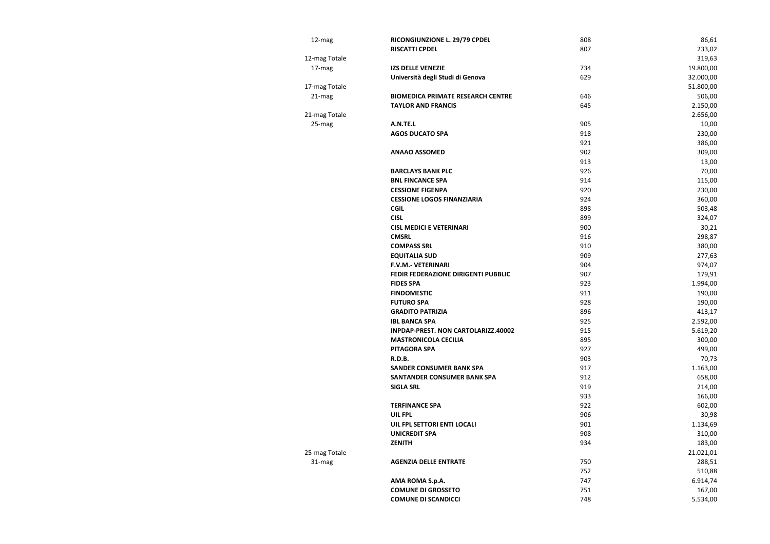| 12-mag       | RICONGIUNZIONE L. 29/79 CPDEL            | 808 | 86,61     |
|--------------|------------------------------------------|-----|-----------|
|              | <b>RISCATTI CPDEL</b>                    | 807 | 233,02    |
| -mag Totale  |                                          |     | 319,63    |
| 17-mag       | <b>IZS DELLE VENEZIE</b>                 | 734 | 19.800,00 |
|              | Università degli Studi di Genova         | 629 | 32.000,00 |
| '-mag Totale |                                          |     | 51.800,00 |
| 21-mag       | <b>BIOMEDICA PRIMATE RESEARCH CENTRE</b> | 646 | 506,00    |
|              | <b>TAYLOR AND FRANCIS</b>                | 645 | 2.150,00  |
| -mag Totale  |                                          |     | 2.656,00  |
| 25-mag       | A.N.TE.L                                 | 905 | 10,00     |
|              | <b>AGOS DUCATO SPA</b>                   | 918 | 230,00    |
|              |                                          | 921 | 386,00    |
|              | <b>ANAAO ASSOMED</b>                     | 902 | 309,00    |
|              |                                          | 913 | 13,00     |
|              | <b>BARCLAYS BANK PLC</b>                 | 926 | 70,00     |
|              | <b>BNL FINCANCE SPA</b>                  | 914 | 115,00    |
|              | <b>CESSIONE FIGENPA</b>                  | 920 | 230,00    |
|              | <b>CESSIONE LOGOS FINANZIARIA</b>        | 924 | 360,00    |
|              | <b>CGIL</b>                              | 898 | 503,48    |
|              | <b>CISL</b>                              | 899 | 324,07    |
|              | <b>CISL MEDICI E VETERINARI</b>          | 900 | 30,21     |
|              | <b>CMSRL</b>                             | 916 | 298,87    |
|              | <b>COMPASS SRL</b>                       | 910 | 380,00    |
|              | <b>EQUITALIA SUD</b>                     | 909 | 277,63    |
|              | <b>F.V.M.- VETERINARI</b>                | 904 | 974,07    |
|              | FEDIR FEDERAZIONE DIRIGENTI PUBBLIC      | 907 | 179,91    |
|              | <b>FIDES SPA</b>                         | 923 | 1.994,00  |
|              | <b>FINDOMESTIC</b>                       | 911 | 190,00    |
|              | <b>FUTURO SPA</b>                        | 928 | 190,00    |
|              | <b>GRADITO PATRIZIA</b>                  | 896 | 413,17    |
|              | <b>IBL BANCA SPA</b>                     | 925 | 2.592,00  |
|              | INPDAP-PREST. NON CARTOLARIZZ.40002      | 915 | 5.619,20  |
|              | <b>MASTRONICOLA CECILIA</b>              | 895 | 300,00    |
|              | <b>PITAGORA SPA</b>                      | 927 | 499,00    |
|              | <b>R.D.B.</b>                            | 903 | 70,73     |
|              | <b>SANDER CONSUMER BANK SPA</b>          | 917 | 1.163,00  |
|              | <b>SANTANDER CONSUMER BANK SPA</b>       | 912 | 658,00    |
|              | <b>SIGLA SRL</b>                         | 919 | 214,00    |
|              |                                          | 933 | 166,00    |
|              | <b>TERFINANCE SPA</b>                    | 922 | 602,00    |
|              | UIL FPL                                  | 906 | 30,98     |
|              | UIL FPL SETTORI ENTI LOCALI              | 901 | 1.134,69  |
|              | <b>UNICREDIT SPA</b>                     | 908 | 310,00    |
|              | <b>ZENITH</b>                            | 934 | 183,00    |
| -mag Totale  |                                          |     | 21.021,01 |
| 31-mag       | <b>AGENZIA DELLE ENTRATE</b>             | 750 | 288,51    |
|              |                                          | 752 | 510,88    |
|              | AMA ROMA S.p.A.                          | 747 | 6.914,74  |
|              | <b>COMUNE DI GROSSETO</b>                | 751 | 167,00    |
|              | <b>COMUNE DI SCANDICCI</b>               | 748 | 5.534,00  |
|              |                                          |     |           |

12-mag Totale<br>17-mag

17-mag Totale<br>21-mag

21-mag Totale<br>25-mag

25-mag Totale

| 808 | 86,61     |
|-----|-----------|
| 807 | 233,02    |
|     | 319,63    |
| 734 | 19.800,00 |
| 629 | 32.000,00 |
|     | 51.800,00 |
| 646 | 506,00    |
| 645 | 2.150,00  |
|     | 2.656,00  |
| 905 | 10,00     |
| 918 | 230,00    |
| 921 | 386,00    |
| 902 | 309,00    |
| 913 | 13,00     |
| 926 | 70,00     |
| 914 | 115,00    |
| 920 | 230,00    |
| 924 | 360,00    |
| 898 | 503,48    |
| 899 | 324,07    |
| 900 | 30,21     |
| 916 | 298,87    |
| 910 | 380,00    |
| 909 | 277,63    |
| 904 | 974,07    |
| 907 | 179,91    |
| 923 | 1.994,00  |
| 911 | 190,00    |
| 928 | 190,00    |
| 896 | 413,17    |
| 925 | 2.592,00  |
| 915 | 5.619,20  |
| 895 | 300,00    |
| 927 | 499,00    |
| 903 | 70,73     |
| 917 | 1.163,00  |
| 912 | 658,00    |
| 919 | 214,00    |
| 933 | 166,00    |
| 922 | 602,00    |
| 906 | 30,98     |
| 901 | 1.134,69  |
| 908 | 310,00    |
| 934 | 183,00    |
|     | 21.021,01 |
| 750 | 288,51    |
| 752 | 510,88    |
| 747 | 6.914,74  |
| 751 | 167,00    |
| 748 | 5.534,00  |
|     |           |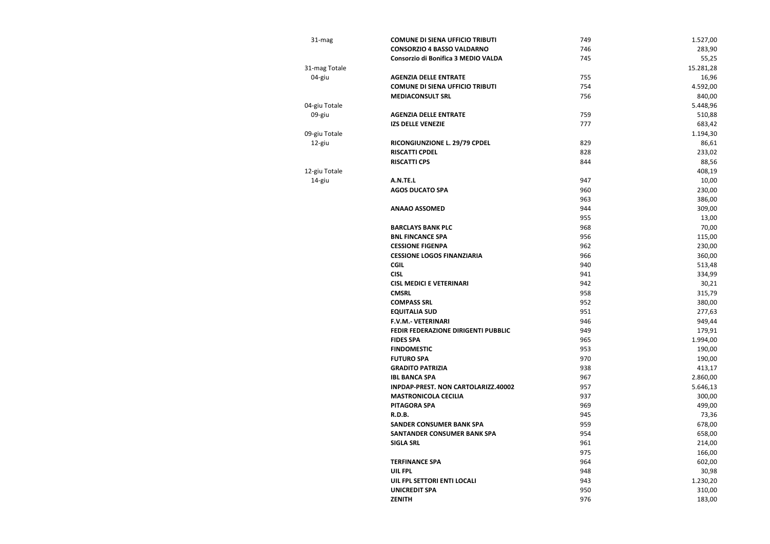| 31-mag        | <b>COMUNE DI SIENA UFFICIO TRIBUTI</b> | 749 | 1.527,00  |
|---------------|----------------------------------------|-----|-----------|
|               | <b>CONSORZIO 4 BASSO VALDARNO</b>      | 746 | 283,90    |
|               | Consorzio di Bonifica 3 MEDIO VALDA    | 745 | 55,25     |
| 31-mag Totale |                                        |     | 15.281,28 |
| 04-giu        | <b>AGENZIA DELLE ENTRATE</b>           | 755 | 16,96     |
|               | <b>COMUNE DI SIENA UFFICIO TRIBUTI</b> | 754 | 4.592,00  |
|               | <b>MEDIACONSULT SRL</b>                | 756 | 840,00    |
| 04-giu Totale |                                        |     | 5.448,96  |
| 09-giu        | <b>AGENZIA DELLE ENTRATE</b>           | 759 | 510,88    |
|               | <b>IZS DELLE VENEZIE</b>               | 777 | 683,42    |
| 09-giu Totale |                                        |     | 1.194,30  |
| 12-giu        | RICONGIUNZIONE L. 29/79 CPDEL          | 829 | 86,61     |
|               | <b>RISCATTI CPDEL</b>                  | 828 | 233,02    |
|               | <b>RISCATTI CPS</b>                    | 844 | 88,56     |
| 12-giu Totale |                                        |     | 408,19    |
| 14-giu        | A.N.TE.L                               | 947 | 10,00     |
|               | <b>AGOS DUCATO SPA</b>                 | 960 | 230,00    |
|               |                                        | 963 | 386,00    |
|               | <b>ANAAO ASSOMED</b>                   | 944 | 309,00    |
|               |                                        | 955 | 13,00     |
|               | <b>BARCLAYS BANK PLC</b>               | 968 | 70,00     |
|               | <b>BNL FINCANCE SPA</b>                | 956 | 115,00    |
|               | <b>CESSIONE FIGENPA</b>                | 962 | 230,00    |
|               | <b>CESSIONE LOGOS FINANZIARIA</b>      | 966 | 360,00    |
|               | <b>CGIL</b>                            | 940 | 513,48    |
|               | <b>CISL</b>                            | 941 | 334,99    |
|               | <b>CISL MEDICI E VETERINARI</b>        | 942 | 30,21     |
|               | <b>CMSRL</b>                           | 958 | 315,79    |
|               | <b>COMPASS SRL</b>                     | 952 | 380,00    |
|               | <b>EQUITALIA SUD</b>                   | 951 | 277,63    |
|               | <b>F.V.M.- VETERINARI</b>              | 946 | 949,44    |
|               | FEDIR FEDERAZIONE DIRIGENTI PUBBLIC    | 949 | 179,91    |
|               | <b>FIDES SPA</b>                       | 965 | 1.994,00  |
|               | <b>FINDOMESTIC</b>                     | 953 | 190,00    |
|               | <b>FUTURO SPA</b>                      | 970 | 190,00    |
|               | <b>GRADITO PATRIZIA</b>                | 938 | 413,17    |
|               | <b>IBL BANCA SPA</b>                   | 967 | 2.860,00  |
|               | INPDAP-PREST. NON CARTOLARIZZ.40002    | 957 | 5.646,13  |
|               | <b>MASTRONICOLA CECILIA</b>            | 937 | 300,00    |
|               | <b>PITAGORA SPA</b>                    | 969 | 499,00    |
|               | <b>R.D.B.</b>                          | 945 | 73,36     |
|               | <b>SANDER CONSUMER BANK SPA</b>        | 959 | 678,00    |
|               | <b>SANTANDER CONSUMER BANK SPA</b>     | 954 | 658,00    |
|               | <b>SIGLA SRL</b>                       | 961 | 214,00    |
|               |                                        | 975 | 166,00    |
|               | <b>TERFINANCE SPA</b>                  | 964 | 602,00    |
|               | <b>UIL FPL</b>                         | 948 | 30,98     |
|               | UIL FPL SETTORI ENTI LOCALI            | 943 | 1.230,20  |
|               | <b>UNICREDIT SPA</b>                   | 950 | 310,00    |
|               | <b>ZENITH</b>                          | 976 | 183,00    |
|               |                                        |     |           |

| 749 | 1.527,00  |
|-----|-----------|
| 746 | 283,90    |
| 745 | 55,25     |
|     | 15.281,28 |
| 755 | 16,96     |
| 754 | 4.592,00  |
| 756 | 840,00    |
|     | 5.448,96  |
| 759 | 510,88    |
| 777 | 683,42    |
|     | 1.194,30  |
| 829 | 86,61     |
| 828 | 233,02    |
| 844 | 88,56     |
|     | 408,19    |
| 947 | 10,00     |
| 960 | 230,00    |
| 963 | 386,00    |
| 944 | 309,00    |
| 955 | 13,00     |
| 968 | 70,00     |
| 956 | 115,00    |
| 962 | 230,00    |
| 966 | 360,00    |
| 940 | 513,48    |
| 941 | 334,99    |
| 942 | 30,21     |
| 958 | 315,79    |
| 952 | 380,00    |
| 951 | 277,63    |
| 946 | 949,44    |
| 949 | 179,91    |
| 965 | 1.994,00  |
| 953 | 190,00    |
| 970 | 190,00    |
| 938 | 413,17    |
| 967 | 2.860,00  |
| 957 | 5.646,13  |
| 937 | 300,00    |
| 969 | 499,00    |
| 945 | 73,36     |
| 959 | 678,00    |
| 954 | 658,00    |
| 961 | 214,00    |
| 975 | 166,00    |
| 964 | 602,00    |
| 948 | 30,98     |
| 943 | 1.230,20  |
|     |           |
| 950 | 310,00    |
| 976 | 183,00    |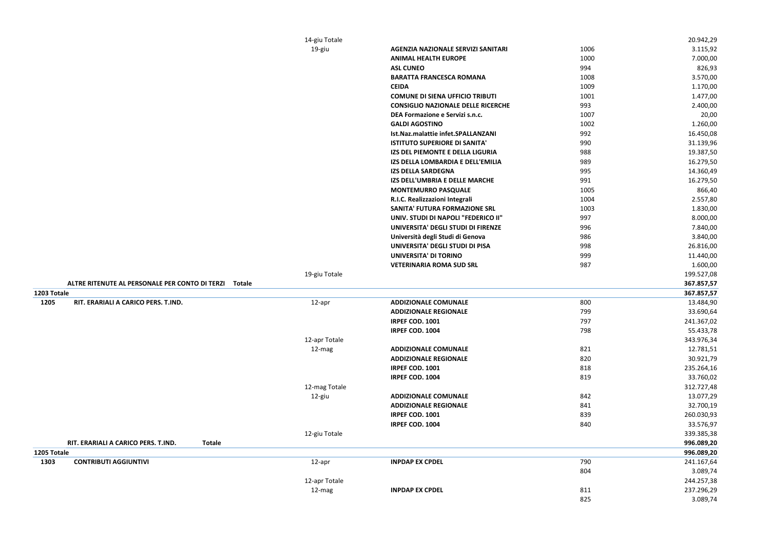|             |                                                       | 14-giu Totale |                                           |      | 20.942,29  |
|-------------|-------------------------------------------------------|---------------|-------------------------------------------|------|------------|
|             |                                                       | 19-giu        | <b>AGENZIA NAZIONALE SERVIZI SANITARI</b> | 1006 | 3.115,92   |
|             |                                                       |               | <b>ANIMAL HEALTH EUROPE</b>               | 1000 | 7.000,00   |
|             |                                                       |               | <b>ASL CUNEO</b>                          | 994  | 826,93     |
|             |                                                       |               | <b>BARATTA FRANCESCA ROMANA</b>           | 1008 | 3.570,00   |
|             |                                                       |               | <b>CEIDA</b>                              | 1009 | 1.170,00   |
|             |                                                       |               | <b>COMUNE DI SIENA UFFICIO TRIBUTI</b>    | 1001 | 1.477,00   |
|             |                                                       |               | <b>CONSIGLIO NAZIONALE DELLE RICERCHE</b> | 993  | 2.400,00   |
|             |                                                       |               | DEA Formazione e Servizi s.n.c.           | 1007 | 20,00      |
|             |                                                       |               | <b>GALDI AGOSTINO</b>                     | 1002 | 1.260,00   |
|             |                                                       |               | Ist.Naz.malattie infet.SPALLANZANI        | 992  | 16.450,08  |
|             |                                                       |               | <b>ISTITUTO SUPERIORE DI SANITA'</b>      | 990  | 31.139,96  |
|             |                                                       |               | IZS DEL PIEMONTE E DELLA LIGURIA          | 988  | 19.387,50  |
|             |                                                       |               | IZS DELLA LOMBARDIA E DELL'EMILIA         | 989  | 16.279,50  |
|             |                                                       |               | <b>IZS DELLA SARDEGNA</b>                 | 995  | 14.360,49  |
|             |                                                       |               | IZS DELL'UMBRIA E DELLE MARCHE            | 991  | 16.279,50  |
|             |                                                       |               | <b>MONTEMURRO PASQUALE</b>                | 1005 | 866,40     |
|             |                                                       |               | R.I.C. Realizzazioni Integrali            | 1004 | 2.557,80   |
|             |                                                       |               | <b>SANITA' FUTURA FORMAZIONE SRL</b>      | 1003 | 1.830,00   |
|             |                                                       |               | UNIV. STUDI DI NAPOLI "FEDERICO II"       | 997  | 8.000,00   |
|             |                                                       |               | UNIVERSITA' DEGLI STUDI DI FIRENZE        | 996  | 7.840,00   |
|             |                                                       |               | Università degli Studi di Genova          | 986  | 3.840,00   |
|             |                                                       |               | UNIVERSITA' DEGLI STUDI DI PISA           | 998  | 26.816,00  |
|             |                                                       |               | <b>UNIVERSITA' DI TORINO</b>              | 999  | 11.440,00  |
|             |                                                       |               | <b>VETERINARIA ROMA SUD SRL</b>           | 987  | 1.600,00   |
|             |                                                       | 19-giu Totale |                                           |      | 199.527,08 |
|             | ALTRE RITENUTE AL PERSONALE PER CONTO DI TERZI Totale |               |                                           |      | 367.857,57 |
| 1203 Totale |                                                       |               |                                           |      | 367.857,57 |
| 1205        | RIT. ERARIALI A CARICO PERS. T.IND.                   | 12-apr        | <b>ADDIZIONALE COMUNALE</b>               | 800  | 13.484,90  |
|             |                                                       |               | <b>ADDIZIONALE REGIONALE</b>              | 799  | 33.690,64  |
|             |                                                       |               | IRPEF COD. 1001                           | 797  | 241.367,02 |
|             |                                                       |               | IRPEF COD. 1004                           | 798  | 55.433,78  |
|             |                                                       | 12-apr Totale |                                           |      | 343.976,34 |
|             |                                                       | 12-mag        | <b>ADDIZIONALE COMUNALE</b>               | 821  | 12.781,51  |
|             |                                                       |               | <b>ADDIZIONALE REGIONALE</b>              | 820  | 30.921,79  |
|             |                                                       |               | IRPEF COD. 1001                           | 818  | 235.264,16 |
|             |                                                       |               | IRPEF COD. 1004                           | 819  | 33.760,02  |
|             |                                                       | 12-mag Totale |                                           |      | 312.727,48 |
|             |                                                       | 12-giu        | <b>ADDIZIONALE COMUNALE</b>               | 842  | 13.077,29  |
|             |                                                       |               | <b>ADDIZIONALE REGIONALE</b>              | 841  | 32.700,19  |
|             |                                                       |               | IRPEF COD. 1001                           | 839  | 260.030,93 |
|             |                                                       |               | IRPEF COD. 1004                           | 840  | 33.576,97  |
|             |                                                       | 12-giu Totale |                                           |      | 339.385,38 |
|             | RIT. ERARIALI A CARICO PERS. T.IND.<br><b>Totale</b>  |               |                                           |      | 996.089,20 |
| 1205 Totale |                                                       |               |                                           |      | 996.089,20 |
| 1303        | <b>CONTRIBUTI AGGIUNTIVI</b>                          | 12-apr        | <b>INPDAP EX CPDEL</b>                    | 790  | 241.167,64 |
|             |                                                       |               |                                           | 804  | 3.089,74   |
|             |                                                       | 12-apr Totale |                                           |      | 244.257,38 |
|             |                                                       | 12-mag        | <b>INPDAP EX CPDEL</b>                    | 811  | 237.296,29 |
|             |                                                       |               |                                           | 825  | 3.089,74   |
|             |                                                       |               |                                           |      |            |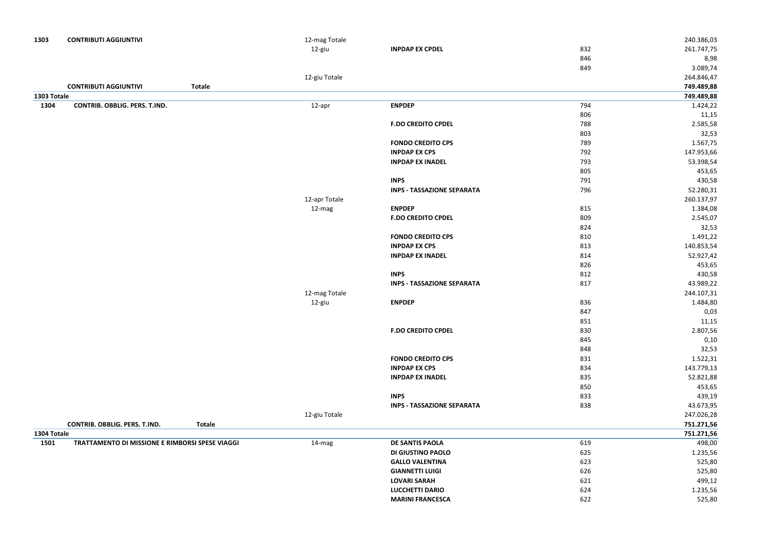| 1303        | <b>CONTRIBUTI AGGIUNTIVI</b>                    |               | 12-mag Totale |                                   |     | 240.386,03 |
|-------------|-------------------------------------------------|---------------|---------------|-----------------------------------|-----|------------|
|             |                                                 |               | 12-giu        | <b>INPDAP EX CPDEL</b>            | 832 | 261.747,75 |
|             |                                                 |               |               |                                   | 846 | 8,98       |
|             |                                                 |               |               |                                   | 849 | 3.089,74   |
|             |                                                 |               | 12-giu Totale |                                   |     | 264.846,47 |
|             | <b>CONTRIBUTI AGGIUNTIVI</b>                    | <b>Totale</b> |               |                                   |     | 749.489,88 |
| 1303 Totale |                                                 |               |               |                                   |     | 749.489,88 |
| 1304        | CONTRIB. OBBLIG. PERS. T.IND.                   |               | 12-apr        | <b>ENPDEP</b>                     | 794 | 1.424,22   |
|             |                                                 |               |               |                                   | 806 | 11,15      |
|             |                                                 |               |               | <b>F.DO CREDITO CPDEL</b>         | 788 | 2.585,58   |
|             |                                                 |               |               |                                   | 803 | 32,53      |
|             |                                                 |               |               | <b>FONDO CREDITO CPS</b>          | 789 | 1.567,75   |
|             |                                                 |               |               | <b>INPDAP EX CPS</b>              | 792 | 147.953,66 |
|             |                                                 |               |               | <b>INPDAP EX INADEL</b>           | 793 | 53.398,54  |
|             |                                                 |               |               |                                   | 805 | 453,65     |
|             |                                                 |               |               | <b>INPS</b>                       | 791 | 430,58     |
|             |                                                 |               |               | <b>INPS - TASSAZIONE SEPARATA</b> | 796 | 52.280,31  |
|             |                                                 |               | 12-apr Totale |                                   |     | 260.137,97 |
|             |                                                 |               | 12-mag        | <b>ENPDEP</b>                     | 815 | 1.384,08   |
|             |                                                 |               |               | <b>F.DO CREDITO CPDEL</b>         | 809 | 2.545,07   |
|             |                                                 |               |               |                                   | 824 | 32,53      |
|             |                                                 |               |               | <b>FONDO CREDITO CPS</b>          | 810 | 1.491,22   |
|             |                                                 |               |               | <b>INPDAP EX CPS</b>              | 813 | 140.853,54 |
|             |                                                 |               |               | <b>INPDAP EX INADEL</b>           | 814 | 52.927,42  |
|             |                                                 |               |               |                                   | 826 | 453,65     |
|             |                                                 |               |               | <b>INPS</b>                       | 812 | 430,58     |
|             |                                                 |               |               | <b>INPS - TASSAZIONE SEPARATA</b> | 817 | 43.989,22  |
|             |                                                 |               | 12-mag Totale |                                   |     | 244.107,31 |
|             |                                                 |               | 12-giu        | <b>ENPDEP</b>                     | 836 | 1.484,80   |
|             |                                                 |               |               |                                   | 847 | 0,03       |
|             |                                                 |               |               |                                   | 851 | 11,15      |
|             |                                                 |               |               | <b>F.DO CREDITO CPDEL</b>         | 830 | 2.807,56   |
|             |                                                 |               |               |                                   | 845 | 0,10       |
|             |                                                 |               |               |                                   | 848 | 32,53      |
|             |                                                 |               |               | <b>FONDO CREDITO CPS</b>          | 831 | 1.522,31   |
|             |                                                 |               |               | <b>INPDAP EX CPS</b>              | 834 | 143.779,13 |
|             |                                                 |               |               | <b>INPDAP EX INADEL</b>           | 835 | 52.821,88  |
|             |                                                 |               |               |                                   | 850 | 453,65     |
|             |                                                 |               |               | <b>INPS</b>                       | 833 | 439,19     |
|             |                                                 |               |               | <b>INPS - TASSAZIONE SEPARATA</b> | 838 | 43.673,95  |
|             |                                                 |               | 12-giu Totale |                                   |     | 247.026,28 |
|             | CONTRIB. OBBLIG. PERS. T.IND.                   | <b>Totale</b> |               |                                   |     | 751.271,56 |
| 1304 Totale |                                                 |               |               |                                   |     | 751.271,56 |
| 1501        | TRATTAMENTO DI MISSIONE E RIMBORSI SPESE VIAGGI |               | 14-mag        | <b>DE SANTIS PAOLA</b>            | 619 | 498,00     |
|             |                                                 |               |               | <b>DI GIUSTINO PAOLO</b>          | 625 | 1.235,56   |
|             |                                                 |               |               | <b>GALLO VALENTINA</b>            | 623 | 525,80     |
|             |                                                 |               |               | <b>GIANNETTI LUIGI</b>            | 626 | 525,80     |
|             |                                                 |               |               | <b>LOVARI SARAH</b>               | 621 | 499,12     |
|             |                                                 |               |               | <b>LUCCHETTI DARIO</b>            | 624 | 1.235,56   |
|             |                                                 |               |               | <b>MARINI FRANCESCA</b>           | 622 | 525,80     |
|             |                                                 |               |               |                                   |     |            |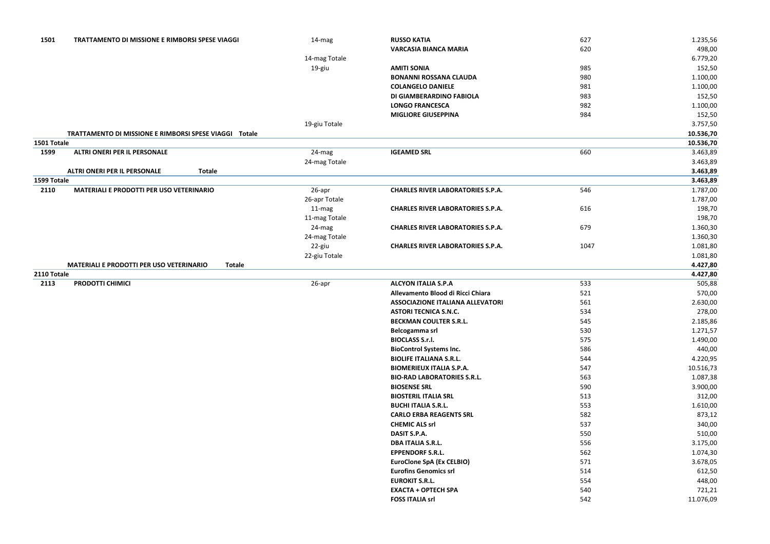| 1501        | <b>TRATTAMENTO DI MISSIONE E RIMBORSI SPESE VIAGGI</b>           | 14-mag        | <b>RUSSO KATIA</b>                       | 627  | 1.235,56  |
|-------------|------------------------------------------------------------------|---------------|------------------------------------------|------|-----------|
|             |                                                                  |               | <b>VARCASIA BIANCA MARIA</b>             | 620  | 498,00    |
|             |                                                                  | 14-mag Totale |                                          |      | 6.779,20  |
|             |                                                                  | 19-giu        | <b>AMITI SONIA</b>                       | 985  | 152,50    |
|             |                                                                  |               | <b>BONANNI ROSSANA CLAUDA</b>            | 980  | 1.100,00  |
|             |                                                                  |               | <b>COLANGELO DANIELE</b>                 | 981  | 1.100,00  |
|             |                                                                  |               | DI GIAMBERARDINO FABIOLA                 | 983  | 152,50    |
|             |                                                                  |               | <b>LONGO FRANCESCA</b>                   | 982  | 1.100,00  |
|             |                                                                  |               | <b>MIGLIORE GIUSEPPINA</b>               | 984  | 152,50    |
|             |                                                                  | 19-giu Totale |                                          |      | 3.757,50  |
|             | TRATTAMENTO DI MISSIONE E RIMBORSI SPESE VIAGGI<br>Totale        |               |                                          |      | 10.536,70 |
| 1501 Totale |                                                                  |               |                                          |      | 10.536,70 |
| 1599        | <b>ALTRI ONERI PER IL PERSONALE</b>                              | 24-mag        | <b>IGEAMED SRL</b>                       | 660  | 3.463,89  |
|             |                                                                  | 24-mag Totale |                                          |      | 3.463,89  |
|             | ALTRI ONERI PER IL PERSONALE<br><b>Totale</b>                    |               |                                          |      | 3.463,89  |
| 1599 Totale |                                                                  |               |                                          |      | 3.463,89  |
| 2110        | <b>MATERIALI E PRODOTTI PER USO VETERINARIO</b>                  | 26-apr        | <b>CHARLES RIVER LABORATORIES S.P.A.</b> | 546  | 1.787,00  |
|             |                                                                  | 26-apr Totale |                                          |      | 1.787,00  |
|             |                                                                  | 11-mag        | <b>CHARLES RIVER LABORATORIES S.P.A.</b> | 616  | 198,70    |
|             |                                                                  | 11-mag Totale |                                          |      | 198,70    |
|             |                                                                  | 24-mag        | <b>CHARLES RIVER LABORATORIES S.P.A.</b> | 679  | 1.360,30  |
|             |                                                                  | 24-mag Totale |                                          |      | 1.360,30  |
|             |                                                                  | 22-giu        | <b>CHARLES RIVER LABORATORIES S.P.A.</b> | 1047 | 1.081,80  |
|             |                                                                  | 22-giu Totale |                                          |      | 1.081,80  |
|             | <b>MATERIALI E PRODOTTI PER USO VETERINARIO</b><br><b>Totale</b> |               |                                          |      | 4.427,80  |
| 2110 Totale |                                                                  |               |                                          |      | 4.427,80  |
| 2113        | <b>PRODOTTI CHIMICI</b>                                          | 26-apr        | <b>ALCYON ITALIA S.P.A</b>               | 533  | 505,88    |
|             |                                                                  |               | Allevamento Blood di Ricci Chiara        | 521  | 570,00    |
|             |                                                                  |               | <b>ASSOCIAZIONE ITALIANA ALLEVATORI</b>  | 561  | 2.630,00  |
|             |                                                                  |               | <b>ASTORI TECNICA S.N.C.</b>             | 534  | 278,00    |
|             |                                                                  |               | <b>BECKMAN COULTER S.R.L.</b>            | 545  | 2.185,86  |
|             |                                                                  |               | Belcogamma srl                           | 530  | 1.271,57  |
|             |                                                                  |               | <b>BIOCLASS S.r.l.</b>                   | 575  | 1.490,00  |
|             |                                                                  |               | <b>BioControl Systems Inc.</b>           | 586  | 440,00    |
|             |                                                                  |               | <b>BIOLIFE ITALIANA S.R.L.</b>           | 544  | 4.220,95  |
|             |                                                                  |               | <b>BIOMERIEUX ITALIA S.P.A.</b>          | 547  | 10.516,73 |
|             |                                                                  |               | <b>BIO-RAD LABORATORIES S.R.L.</b>       | 563  | 1.087,38  |
|             |                                                                  |               | <b>BIOSENSE SRL</b>                      | 590  | 3.900,00  |
|             |                                                                  |               | <b>BIOSTERIL ITALIA SRL</b>              | 513  | 312,00    |
|             |                                                                  |               | <b>BUCHI ITALIA S.R.L.</b>               | 553  | 1.610,00  |
|             |                                                                  |               | <b>CARLO ERBA REAGENTS SRL</b>           | 582  | 873,12    |
|             |                                                                  |               | <b>CHEMIC ALS srl</b>                    | 537  | 340,00    |
|             |                                                                  |               | DASIT S.P.A.                             | 550  | 510,00    |
|             |                                                                  |               | <b>DBA ITALIA S.R.L.</b>                 | 556  | 3.175,00  |
|             |                                                                  |               | <b>EPPENDORF S.R.L.</b>                  | 562  | 1.074,30  |
|             |                                                                  |               | <b>EuroClone SpA (Ex CELBIO)</b>         | 571  | 3.678,05  |
|             |                                                                  |               | <b>Eurofins Genomics srl</b>             | 514  | 612,50    |
|             |                                                                  |               | <b>EUROKIT S.R.L.</b>                    | 554  | 448,00    |
|             |                                                                  |               | <b>EXACTA + OPTECH SPA</b>               | 540  | 721,21    |
|             |                                                                  |               | <b>FOSS ITALIA srl</b>                   | 542  | 11.076,09 |
|             |                                                                  |               |                                          |      |           |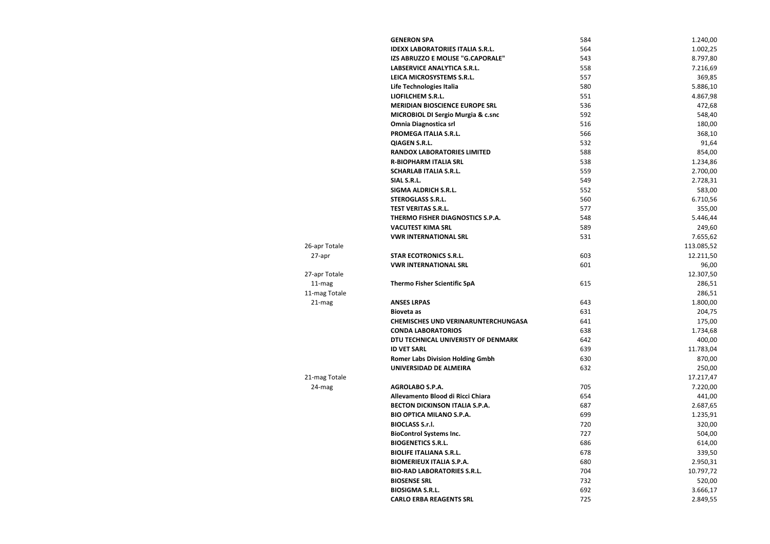|               | <b>GENERON SPA</b>                         | 584 | 1.240,00   |
|---------------|--------------------------------------------|-----|------------|
|               | <b>IDEXX LABORATORIES ITALIA S.R.L.</b>    | 564 | 1.002,25   |
|               | IZS ABRUZZO E MOLISE "G.CAPORALE"          | 543 | 8.797,80   |
|               | LABSERVICE ANALYTICA S.R.L.                | 558 | 7.216,69   |
|               | LEICA MICROSYSTEMS S.R.L.                  | 557 | 369,85     |
|               | Life Technologies Italia                   | 580 | 5.886,10   |
|               | LIOFILCHEM S.R.L.                          | 551 | 4.867,98   |
|               | <b>MERIDIAN BIOSCIENCE EUROPE SRL</b>      | 536 | 472,68     |
|               | MICROBIOL DI Sergio Murgia & c.snc         | 592 | 548,40     |
|               | <b>Omnia Diagnostica srl</b>               | 516 | 180,00     |
|               | PROMEGA ITALIA S.R.L.                      | 566 | 368,10     |
|               | <b>QIAGEN S.R.L.</b>                       | 532 | 91,64      |
|               | <b>RANDOX LABORATORIES LIMITED</b>         | 588 | 854,00     |
|               | <b>R-BIOPHARM ITALIA SRL</b>               | 538 | 1.234,86   |
|               | <b>SCHARLAB ITALIA S.R.L.</b>              | 559 | 2.700,00   |
|               | SIAL S.R.L.                                | 549 | 2.728,31   |
|               | <b>SIGMA ALDRICH S.R.L.</b>                | 552 | 583,00     |
|               | <b>STEROGLASS S.R.L.</b>                   | 560 | 6.710,56   |
|               | <b>TEST VERITAS S.R.L.</b>                 | 577 | 355,00     |
|               | THERMO FISHER DIAGNOSTICS S.P.A.           | 548 | 5.446,44   |
|               | <b>VACUTEST KIMA SRL</b>                   | 589 | 249,60     |
|               | <b>VWR INTERNATIONAL SRL</b>               | 531 | 7.655,62   |
| 26-apr Totale |                                            |     | 113.085,52 |
| 27-apr        | <b>STAR ECOTRONICS S.R.L.</b>              | 603 | 12.211,50  |
|               | <b>VWR INTERNATIONAL SRL</b>               | 601 | 96,00      |
| 27-apr Totale |                                            |     | 12.307,50  |
| 11-mag        | <b>Thermo Fisher Scientific SpA</b>        | 615 | 286,51     |
| 11-mag Totale |                                            |     | 286,51     |
| 21-mag        | <b>ANSES LRPAS</b>                         | 643 | 1.800,00   |
|               | <b>Bioveta</b> as                          | 631 | 204,75     |
|               | <b>CHEMISCHES UND VERINARUNTERCHUNGASA</b> | 641 | 175,00     |
|               | <b>CONDA LABORATORIOS</b>                  | 638 | 1.734,68   |
|               | DTU TECHNICAL UNIVERISTY OF DENMARK        | 642 | 400,00     |
|               | <b>ID VET SARL</b>                         | 639 | 11.783,04  |
|               | <b>Romer Labs Division Holding Gmbh</b>    | 630 | 870,00     |
|               | UNIVERSIDAD DE ALMEIRA                     | 632 | 250,00     |
| 21-mag Totale |                                            |     | 17.217,47  |
| 24-mag        | <b>AGROLABO S.P.A.</b>                     | 705 | 7.220,00   |
|               | Allevamento Blood di Ricci Chiara          | 654 | 441,00     |
|               | <b>BECTON DICKINSON ITALIA S.P.A.</b>      | 687 | 2.687,65   |
|               | <b>BIO OPTICA MILANO S.P.A.</b>            | 699 | 1.235,91   |
|               | <b>BIOCLASS S.r.l.</b>                     | 720 | 320,00     |
|               | <b>BioControl Systems Inc.</b>             | 727 | 504,00     |
|               | <b>BIOGENETICS S.R.L.</b>                  | 686 | 614,00     |
|               | <b>BIOLIFE ITALIANA S.R.L.</b>             | 678 | 339,50     |
|               | <b>BIOMERIEUX ITALIA S.P.A.</b>            | 680 | 2.950,31   |
|               | <b>BIO-RAD LABORATORIES S.R.L.</b>         | 704 | 10.797,72  |
|               | <b>BIOSENSE SRL</b>                        | 732 | 520,00     |
|               | <b>BIOSIGMA S.R.L.</b>                     | 692 | 3.666,17   |
|               | <b>CARLO ERBA REAGENTS SRL</b>             | 725 | 2.849,55   |
|               |                                            |     |            |

| 84 | 1.240,00   |
|----|------------|
| 64 | 1.002,25   |
| 43 | 8.797,80   |
| 58 | 7.216,69   |
| 57 | 369,85     |
| 80 | 5.886,10   |
| 51 | 4.867,98   |
| 36 | 472,68     |
| 92 | 548,40     |
| 16 | 180,00     |
| 66 | 368,10     |
| 32 | 91,64      |
| 88 | 854,00     |
| 38 | 1.234,86   |
| 59 | 2.700,00   |
| 49 | 2.728,31   |
| 52 | 583,00     |
| 60 | 6.710,56   |
| 77 | 355,00     |
| 48 | 5.446,44   |
| 89 | 249,60     |
| 31 | 7.655,62   |
|    | 113.085,52 |
| 03 | 12.211,50  |
| 01 | 96,00      |
|    | 12.307,50  |
| 15 | 286,51     |
|    | 286,51     |
| 43 | 1.800,00   |
| 31 | 204,75     |
| 41 | 175,00     |
| 38 | 1.734,68   |
| 42 | 400,00     |
| 39 | 11.783,04  |
| 30 | 870,00     |
| 32 | 250,00     |
|    | 17.217,47  |
| 05 | 7.220,00   |
| 54 | 441,00     |
| 87 | 2.687,65   |
| 99 | 1.235,91   |
| 20 | 320,00     |
| 27 | 504,00     |
| 86 | 614,00     |
| 78 | 339,50     |
| 80 | 2.950,31   |
| 04 | 10.797,72  |
| 32 | 520,00     |
| 92 | 3.666,17   |
| 25 | 2.849,55   |
|    |            |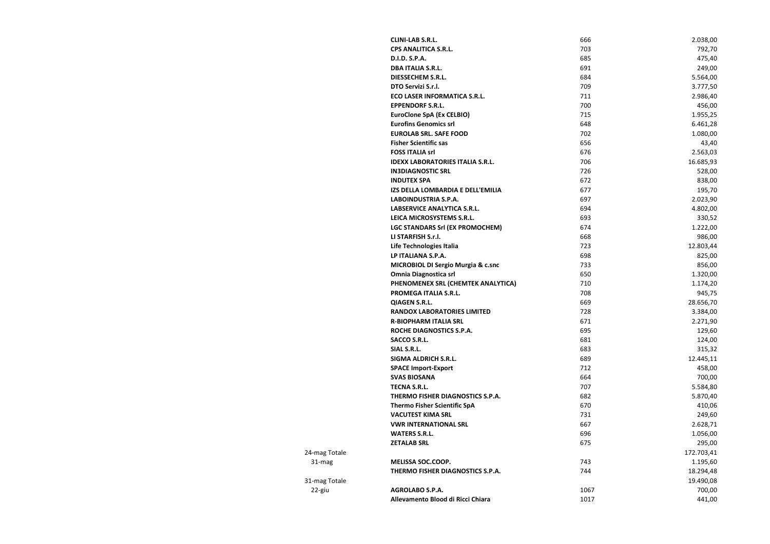**CLINI-LAB S.R.L.** 666 2.038,00 **CPS ANALITICA S.R.L.** 703 792,70 **D.I.D. S.P.A.** 475,40 **DBA ITALIA S.R.L.** 691 249,00 **DIESSECHEM S.R.L. CONSECTED ASSECTED 684** 5.564,00 **DTO Servizi S.r.l.** *CONSERVIZION STATE STATE STATE STATE STATE STATE STATE STATE STATE STATE STATE STATE STATE STATE STATE STATE STATE STATE STATE STATE STATE STATE STATE STATE STATE STATE STATE STATE STATE STATE STATE* **ECO LASER INFORMATICA S.R.L.** 711 2.986,40 **EPPENDORF S.R.L.** 456,00 **EuroClone SpA (Ex CELBIO) 715 1.955,25 Eurofins Genomics srl** 6.461,28 **EUROLAB SRL. SAFE FOOD 1.080,00** 702 1.080,00 **Fisher Scientific sas** 656 43,40 **FOSS ITALIA srl** 676 2.563,03 **IDEXX LABORATORIES ITALIA S.R.L.** 706 706 16.685,93 **IN3DIAGNOSTIC SRL** 528,00 **INDUTEX SPA** 838,00 **IZS DELLA LOMBARDIA E DELL'EMILIA 195,70** 677 **195,70** 195,70 **LABOINDUSTRIA S.P.A.** 697 2.023,90 **LABSERVICE ANALYTICA S.R.L.** 694 4.802,00 **LEICA MICROSYSTEMS S.R.L.** 693 693 330,52 **LGC STANDARS Srl (EX PROMOCHEM)** 674 674 1.222,00 **LI STARFISH S.r.l.** 668 986,00 **Life Technologies Italia** 723 12.803,44 **LP ITALIANA S.P.A.** 825,00 **MICROBIOL DI Sergio Murgia & c.snc**  733 856,00 **Omnia Diagnostica srl 1.320,00** 650 650 1.320,00 **PHENOMENEX SRL (CHEMTEK ANALYTICA)** 710 710 1.174,20 **PROMEGA ITALIA S.R.L.** 2008 945,75 **QIAGEN S.R.L.** 669 28.656,70 **RANDOX LABORATORIES LIMITED** 728 728 3.384,00 **R-BIOPHARM ITALIA SRL** 2.271,90 **ROCHE DIAGNOSTICS S.P.A. 695** 129,60 **SACCO S.R.L.** 124,00 **SIAL S.R.L.** 315,32 **SIGMA ALDRICH S.R.L.** 689 **12.445,11 SPACE Import-Export** 712 458,00 **SVAS BIOSANA 664** 700,00 **TECNA S.R.L.** 5.584,80 **THERMO FISHER DIAGNOSTICS S.P.A.** 682 682 5.870,40 **Thermo Fisher Scientific SpA 670 670 410,06 VACUTEST KIMA SRL** 731 249,60 **VWR INTERNATIONAL SRL**  667 2.628,71 **WATERS S.R.L.** 696 1.056,00 **ZETALAB SRL** 675 295,00 **THERMO FISHER DIAGNOSTICS S.P.A.** 2004/05/2006 2012 18:294,48 31-mag Totale 19.490,08 22-giu **AGROLABO S.P.A.** 1067 700,00 **Allevamento Blood di Ricci Chiara** 1017 441,00

24-mag Totale 172.703,41 31-mag **MELISSA SOC.COOP.** 743 1.195,60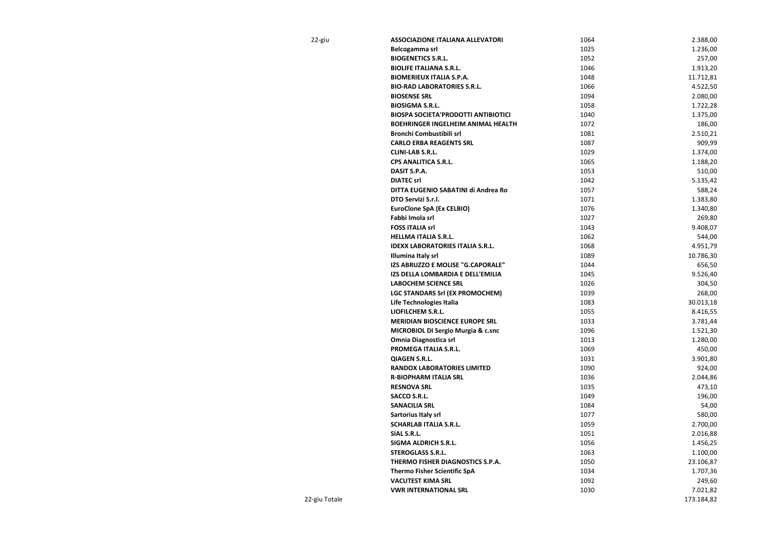| 22-giu | <b>ASSOCIAZIONE ITALIANA ALLEVATORI</b>       | 1064 | 2.388,00  |
|--------|-----------------------------------------------|------|-----------|
|        | Belcogamma srl                                | 1025 | 1.236,00  |
|        | <b>BIOGENETICS S.R.L.</b>                     | 1052 | 257,00    |
|        | <b>BIOLIFE ITALIANA S.R.L.</b>                | 1046 | 1.913,20  |
|        | <b>BIOMERIEUX ITALIA S.P.A.</b>               | 1048 | 11.712,81 |
|        | <b>BIO-RAD LABORATORIES S.R.L.</b>            | 1066 | 4.522,50  |
|        | <b>BIOSENSE SRL</b>                           | 1094 | 2.080,00  |
|        | <b>BIOSIGMA S.R.L.</b>                        | 1058 | 1.722,28  |
|        | <b>BIOSPA SOCIETA'PRODOTTI ANTIBIOTICI</b>    | 1040 | 1.375,00  |
|        | <b>BOEHRINGER INGELHEIM ANIMAL HEALTH</b>     | 1072 | 186,00    |
|        | <b>Bronchi Combustibili srl</b>               | 1081 | 2.510,21  |
|        | <b>CARLO ERBA REAGENTS SRL</b>                | 1087 | 909,99    |
|        | <b>CLINI-LAB S.R.L.</b>                       | 1029 | 1.374,00  |
|        | <b>CPS ANALITICA S.R.L.</b>                   | 1065 | 1.188,20  |
|        | DASIT S.P.A.                                  | 1053 | 510,00    |
|        | <b>DIATEC srl</b>                             | 1042 | 5.135,42  |
|        | DITTA EUGENIO SABATINI di Andrea Ro           | 1057 | 588,24    |
|        | DTO Servizi S.r.l.                            | 1071 | 1.383,80  |
|        | <b>EuroClone SpA (Ex CELBIO)</b>              | 1076 | 1.340,80  |
|        | Fabbi Imola srl                               | 1027 | 269,80    |
|        | <b>FOSS ITALIA srl</b>                        | 1043 | 9.408,07  |
|        | <b>HELLMA ITALIA S.R.L.</b>                   | 1062 | 544,00    |
|        | <b>IDEXX LABORATORIES ITALIA S.R.L.</b>       | 1068 | 4.951,79  |
|        | Illumina Italy srl                            | 1089 | 10.786,30 |
|        | IZS ABRUZZO E MOLISE "G.CAPORALE"             | 1044 | 656,50    |
|        | IZS DELLA LOMBARDIA E DELL'EMILIA             | 1045 | 9.526,40  |
|        | <b>LABOCHEM SCIENCE SRL</b>                   | 1026 | 304,50    |
|        | <b>LGC STANDARS Srl (EX PROMOCHEM)</b>        | 1039 | 268,00    |
|        | Life Technologies Italia                      | 1083 | 30.013,18 |
|        | <b>LIOFILCHEM S.R.L.</b>                      | 1055 | 8.416,55  |
|        | <b>MERIDIAN BIOSCIENCE EUROPE SRL</b>         | 1033 | 3.781,44  |
|        | <b>MICROBIOL DI Sergio Murgia &amp; c.snc</b> | 1096 | 1.521,30  |
|        | <b>Omnia Diagnostica srl</b>                  | 1013 | 1.280,00  |
|        | PROMEGA ITALIA S.R.L.                         | 1069 | 450,00    |
|        | <b>QIAGEN S.R.L.</b>                          | 1031 | 3.901,80  |
|        | <b>RANDOX LABORATORIES LIMITED</b>            | 1090 | 924,00    |
|        | <b>R-BIOPHARM ITALIA SRL</b>                  | 1036 | 2.044,86  |
|        | <b>RESNOVA SRL</b>                            | 1035 | 473,10    |
|        | <b>SACCO S.R.L.</b>                           | 1049 | 196,00    |
|        | <b>SANACILIA SRL</b>                          | 1084 |           |
|        |                                               |      | 54,00     |
|        | Sartorius Italy srl                           | 1077 | 580,00    |
|        | <b>SCHARLAB ITALIA S.R.L.</b>                 | 1059 | 2.700,00  |
|        | SIAL S.R.L.                                   | 1051 | 2.016,88  |
|        | <b>SIGMA ALDRICH S.R.L.</b>                   | 1056 | 1.456,25  |
|        | <b>STEROGLASS S.R.L.</b>                      | 1063 | 1.100,00  |
|        | THERMO FISHER DIAGNOSTICS S.P.A.              | 1050 | 23.106,87 |
|        | <b>Thermo Fisher Scientific SpA</b>           | 1034 | 1.707,36  |
|        | <b>VACUTEST KIMA SRL</b>                      | 1092 | 249,60    |
|        | <b>VWR INTERNATIONAL SRL</b>                  | 1030 | 7.021,82  |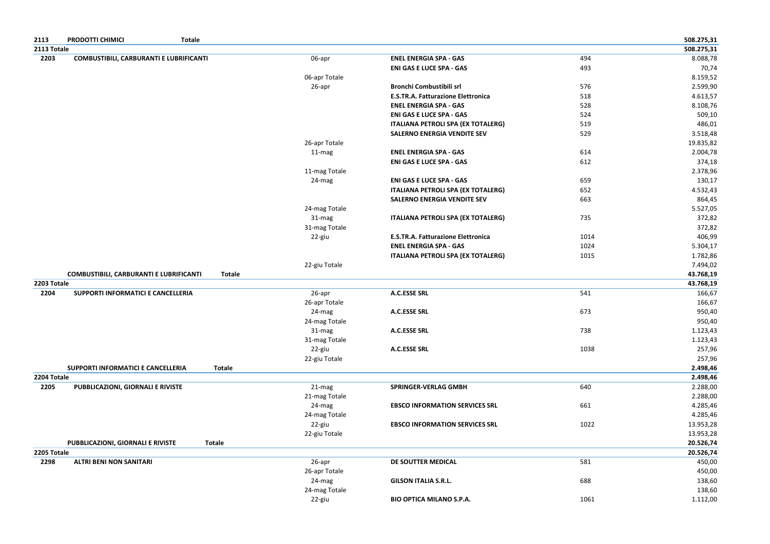| 2113        | <b>PRODOTTI CHIMICI</b><br><b>Totale</b>       |               |               |                                           |      | 508.275,31 |
|-------------|------------------------------------------------|---------------|---------------|-------------------------------------------|------|------------|
| 2113 Totale |                                                |               |               |                                           |      | 508.275,31 |
| 2203        | <b>COMBUSTIBILI, CARBURANTI E LUBRIFICANTI</b> |               | 06-apr        | <b>ENEL ENERGIA SPA - GAS</b>             | 494  | 8.088,78   |
|             |                                                |               |               | <b>ENI GAS E LUCE SPA - GAS</b>           | 493  | 70,74      |
|             |                                                |               | 06-apr Totale |                                           |      | 8.159,52   |
|             |                                                |               | 26-apr        | <b>Bronchi Combustibili srl</b>           | 576  | 2.599,90   |
|             |                                                |               |               | <b>E.S.TR.A. Fatturazione Elettronica</b> | 518  | 4.613,57   |
|             |                                                |               |               | <b>ENEL ENERGIA SPA - GAS</b>             | 528  | 8.108,76   |
|             |                                                |               |               | <b>ENI GAS E LUCE SPA - GAS</b>           | 524  | 509,10     |
|             |                                                |               |               | <b>ITALIANA PETROLI SPA (EX TOTALERG)</b> | 519  | 486,01     |
|             |                                                |               |               | <b>SALERNO ENERGIA VENDITE SEV</b>        | 529  | 3.518,48   |
|             |                                                |               | 26-apr Totale |                                           |      | 19.835,82  |
|             |                                                |               | 11-mag        | <b>ENEL ENERGIA SPA - GAS</b>             | 614  | 2.004,78   |
|             |                                                |               |               | <b>ENI GAS E LUCE SPA - GAS</b>           | 612  | 374,18     |
|             |                                                |               | 11-mag Totale |                                           |      | 2.378,96   |
|             |                                                |               | 24-mag        | <b>ENI GAS E LUCE SPA - GAS</b>           | 659  | 130,17     |
|             |                                                |               |               | <b>ITALIANA PETROLI SPA (EX TOTALERG)</b> | 652  | 4.532,43   |
|             |                                                |               |               | <b>SALERNO ENERGIA VENDITE SEV</b>        | 663  | 864,45     |
|             |                                                |               | 24-mag Totale |                                           |      | 5.527,05   |
|             |                                                |               | 31-mag        | <b>ITALIANA PETROLI SPA (EX TOTALERG)</b> | 735  | 372,82     |
|             |                                                |               | 31-mag Totale |                                           |      | 372,82     |
|             |                                                |               | 22-giu        | <b>E.S.TR.A. Fatturazione Elettronica</b> | 1014 | 406,99     |
|             |                                                |               |               | <b>ENEL ENERGIA SPA - GAS</b>             | 1024 | 5.304,17   |
|             |                                                |               |               | <b>ITALIANA PETROLI SPA (EX TOTALERG)</b> | 1015 | 1.782,86   |
|             |                                                |               | 22-giu Totale |                                           |      | 7.494,02   |
|             | <b>COMBUSTIBILI, CARBURANTI E LUBRIFICANTI</b> | <b>Totale</b> |               |                                           |      | 43.768,19  |
| 2203 Totale |                                                |               |               |                                           |      | 43.768,19  |
| 2204        | SUPPORTI INFORMATICI E CANCELLERIA             |               | 26-apr        | <b>A.C.ESSE SRL</b>                       | 541  | 166,67     |
|             |                                                |               | 26-apr Totale |                                           |      | 166,67     |
|             |                                                |               | 24-mag        | <b>A.C.ESSE SRL</b>                       | 673  | 950,40     |
|             |                                                |               | 24-mag Totale |                                           |      | 950,40     |
|             |                                                |               | 31-mag        | A.C.ESSE SRL                              | 738  | 1.123,43   |
|             |                                                |               | 31-mag Totale |                                           |      | 1.123,43   |
|             |                                                |               | 22-giu        | <b>A.C.ESSE SRL</b>                       | 1038 | 257,96     |
|             |                                                |               | 22-giu Totale |                                           |      | 257,96     |
|             | SUPPORTI INFORMATICI E CANCELLERIA             | <b>Totale</b> |               |                                           |      | 2.498,46   |
| 2204 Totale |                                                |               |               |                                           |      | 2.498,46   |
| 2205        | PUBBLICAZIONI, GIORNALI E RIVISTE              |               | 21-mag        | SPRINGER-VERLAG GMBH                      | 640  | 2.288,00   |
|             |                                                |               | 21-mag Totale |                                           |      | 2.288,00   |
|             |                                                |               | 24-mag        | <b>EBSCO INFORMATION SERVICES SRL</b>     | 661  | 4.285,46   |
|             |                                                |               | 24-mag Totale |                                           |      | 4.285,46   |
|             |                                                |               | 22-giu        | <b>EBSCO INFORMATION SERVICES SRL</b>     | 1022 | 13.953,28  |
|             |                                                |               | 22-giu Totale |                                           |      | 13.953,28  |
|             | <b>PUBBLICAZIONI, GIORNALI E RIVISTE</b>       | <b>Totale</b> |               |                                           |      | 20.526,74  |
| 2205 Totale |                                                |               |               |                                           |      | 20.526,74  |
| 2298        | <b>ALTRI BENI NON SANITARI</b>                 |               | 26-apr        | DE SOUTTER MEDICAL                        | 581  | 450,00     |
|             |                                                |               | 26-apr Totale |                                           |      | 450,00     |
|             |                                                |               | 24-mag        | <b>GILSON ITALIA S.R.L.</b>               | 688  | 138,60     |
|             |                                                |               | 24-mag Totale |                                           |      | 138,60     |
|             |                                                |               | 22-giu        | <b>BIO OPTICA MILANO S.P.A.</b>           | 1061 | 1.112,00   |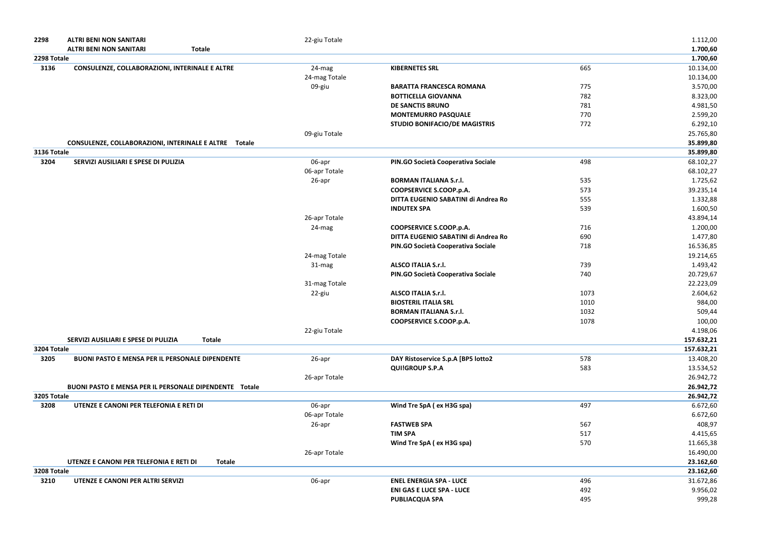| 2298        | <b>ALTRI BENI NON SANITARI</b><br><b>ALTRI BENI NON SANITARI</b><br><b>Totale</b> | 22-giu Totale |                                      |      | 1.112,00<br>1.700,60 |
|-------------|-----------------------------------------------------------------------------------|---------------|--------------------------------------|------|----------------------|
| 2298 Totale |                                                                                   |               |                                      |      | 1.700,60             |
| 3136        | <b>CONSULENZE, COLLABORAZIONI, INTERINALE E ALTRE</b>                             | 24-mag        | <b>KIBERNETES SRL</b>                | 665  | 10.134,00            |
|             |                                                                                   | 24-mag Totale |                                      |      | 10.134,00            |
|             |                                                                                   | 09-giu        | <b>BARATTA FRANCESCA ROMANA</b>      | 775  | 3.570,00             |
|             |                                                                                   |               | <b>BOTTICELLA GIOVANNA</b>           | 782  | 8.323,00             |
|             |                                                                                   |               | <b>DE SANCTIS BRUNO</b>              | 781  | 4.981,50             |
|             |                                                                                   |               | <b>MONTEMURRO PASQUALE</b>           | 770  | 2.599,20             |
|             |                                                                                   |               | <b>STUDIO BONIFACIO/DE MAGISTRIS</b> | 772  | 6.292,10             |
|             |                                                                                   | 09-giu Totale |                                      |      | 25.765,80            |
|             | CONSULENZE, COLLABORAZIONI, INTERINALE E ALTRE Totale                             |               |                                      |      | 35.899,80            |
| 3136 Totale |                                                                                   |               |                                      |      | 35.899,80            |
| 3204        | SERVIZI AUSILIARI E SPESE DI PULIZIA                                              | 06-apr        | PIN.GO Società Cooperativa Sociale   | 498  | 68.102,27            |
|             |                                                                                   | 06-apr Totale |                                      |      | 68.102,27            |
|             |                                                                                   | 26-apr        | <b>BORMAN ITALIANA S.r.l.</b>        | 535  | 1.725,62             |
|             |                                                                                   |               | <b>COOPSERVICE S.COOP.p.A.</b>       | 573  | 39.235,14            |
|             |                                                                                   |               | DITTA EUGENIO SABATINI di Andrea Ro  | 555  | 1.332,88             |
|             |                                                                                   |               | <b>INDUTEX SPA</b>                   | 539  | 1.600,50             |
|             |                                                                                   | 26-apr Totale |                                      |      | 43.894,14            |
|             |                                                                                   | 24-mag        | <b>COOPSERVICE S.COOP.p.A.</b>       | 716  | 1.200,00             |
|             |                                                                                   |               | DITTA EUGENIO SABATINI di Andrea Ro  | 690  | 1.477,80             |
|             |                                                                                   |               | PIN.GO Società Cooperativa Sociale   | 718  | 16.536,85            |
|             |                                                                                   | 24-mag Totale |                                      |      | 19.214,65            |
|             |                                                                                   | 31-mag        | <b>ALSCO ITALIA S.r.l.</b>           | 739  | 1.493,42             |
|             |                                                                                   |               | PIN.GO Società Cooperativa Sociale   | 740  | 20.729,67            |
|             |                                                                                   | 31-mag Totale |                                      |      | 22.223,09            |
|             |                                                                                   | 22-giu        | <b>ALSCO ITALIA S.r.l.</b>           | 1073 | 2.604,62             |
|             |                                                                                   |               | <b>BIOSTERIL ITALIA SRL</b>          | 1010 | 984,00               |
|             |                                                                                   |               | <b>BORMAN ITALIANA S.r.l.</b>        | 1032 | 509,44               |
|             |                                                                                   |               | <b>COOPSERVICE S.COOP.p.A.</b>       | 1078 | 100,00               |
|             |                                                                                   | 22-giu Totale |                                      |      | 4.198,06             |
|             | SERVIZI AUSILIARI E SPESE DI PULIZIA<br><b>Totale</b>                             |               |                                      |      | 157.632,21           |
| 3204 Totale |                                                                                   |               |                                      |      | 157.632,21           |
| 3205        | <b>BUONI PASTO E MENSA PER IL PERSONALE DIPENDENTE</b>                            | 26-apr        | DAY Ristoservice S.p.A [BP5 lotto2   | 578  | 13.408,20            |
|             |                                                                                   |               | <b>QUI!GROUP S.P.A</b>               | 583  | 13.534,52            |
|             |                                                                                   | 26-apr Totale |                                      |      | 26.942,72            |
|             | <b>BUONI PASTO E MENSA PER IL PERSONALE DIPENDENTE Totale</b>                     |               |                                      |      | 26.942,72            |
| 3205 Totale |                                                                                   |               |                                      |      | 26.942,72            |
| 3208        | UTENZE E CANONI PER TELEFONIA E RETI DI                                           | 06-apr        | Wind Tre SpA (ex H3G spa)            | 497  | 6.672,60             |
|             |                                                                                   | 06-apr Totale |                                      |      | 6.672,60             |
|             |                                                                                   | 26-apr        | <b>FASTWEB SPA</b>                   | 567  | 408,97               |
|             |                                                                                   |               | <b>TIM SPA</b>                       | 517  | 4.415,65             |
|             |                                                                                   |               | Wind Tre SpA (ex H3G spa)            | 570  | 11.665,38            |
|             |                                                                                   | 26-apr Totale |                                      |      | 16.490,00            |
|             | UTENZE E CANONI PER TELEFONIA E RETI DI<br><b>Totale</b>                          |               |                                      |      | 23.162,60            |
| 3208 Totale |                                                                                   |               |                                      |      | 23.162,60            |
| 3210        | UTENZE E CANONI PER ALTRI SERVIZI                                                 | 06-apr        | <b>ENEL ENERGIA SPA - LUCE</b>       | 496  | 31.672,86            |
|             |                                                                                   |               | <b>ENI GAS E LUCE SPA - LUCE</b>     | 492  | 9.956,02             |
|             |                                                                                   |               | <b>PUBLIACQUA SPA</b>                | 495  | 999,28               |
|             |                                                                                   |               |                                      |      |                      |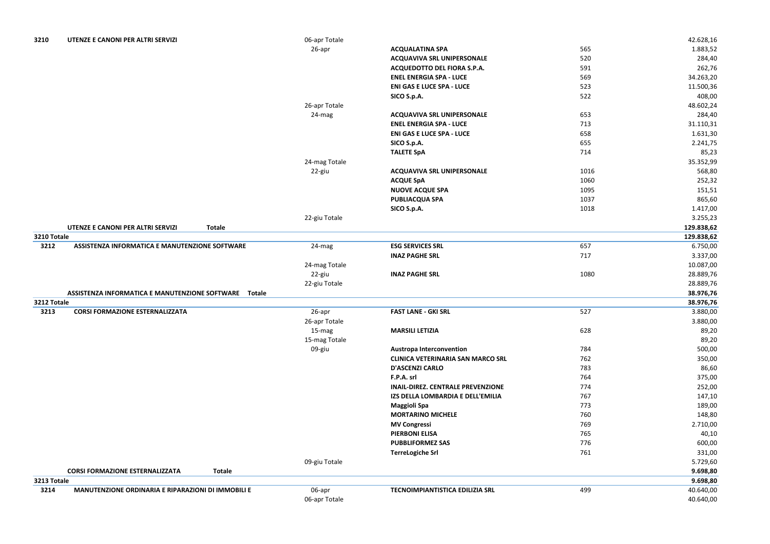| 3210        | UTENZE E CANONI PER ALTRI SERVIZI                       | 06-apr Totale |                                          |      | 42.628,16  |
|-------------|---------------------------------------------------------|---------------|------------------------------------------|------|------------|
|             |                                                         | 26-apr        | <b>ACQUALATINA SPA</b>                   | 565  | 1.883,52   |
|             |                                                         |               | <b>ACQUAVIVA SRL UNIPERSONALE</b>        | 520  | 284,40     |
|             |                                                         |               | ACQUEDOTTO DEL FIORA S.P.A.              | 591  | 262,76     |
|             |                                                         |               | <b>ENEL ENERGIA SPA - LUCE</b>           | 569  | 34.263,20  |
|             |                                                         |               | <b>ENI GAS E LUCE SPA - LUCE</b>         | 523  | 11.500,36  |
|             |                                                         |               | SICO S.p.A.                              | 522  | 408,00     |
|             |                                                         | 26-apr Totale |                                          |      | 48.602,24  |
|             |                                                         | 24-mag        | <b>ACQUAVIVA SRL UNIPERSONALE</b>        | 653  | 284,40     |
|             |                                                         |               | <b>ENEL ENERGIA SPA - LUCE</b>           | 713  | 31.110,31  |
|             |                                                         |               | <b>ENI GAS E LUCE SPA - LUCE</b>         | 658  | 1.631,30   |
|             |                                                         |               | SICO S.p.A.                              | 655  | 2.241,75   |
|             |                                                         |               | <b>TALETE SpA</b>                        | 714  | 85,23      |
|             |                                                         | 24-mag Totale |                                          |      | 35.352,99  |
|             |                                                         | 22-giu        | <b>ACQUAVIVA SRL UNIPERSONALE</b>        | 1016 | 568,80     |
|             |                                                         |               | <b>ACQUE SpA</b>                         | 1060 | 252,32     |
|             |                                                         |               | <b>NUOVE ACQUE SPA</b>                   | 1095 | 151,51     |
|             |                                                         |               | <b>PUBLIACQUA SPA</b>                    | 1037 | 865,60     |
|             |                                                         |               | SICO S.p.A.                              | 1018 | 1.417,00   |
|             |                                                         | 22-giu Totale |                                          |      | 3.255,23   |
|             | UTENZE E CANONI PER ALTRI SERVIZI<br><b>Totale</b>      |               |                                          |      | 129.838,62 |
| 3210 Totale |                                                         |               |                                          |      | 129.838,62 |
| 3212        | ASSISTENZA INFORMATICA E MANUTENZIONE SOFTWARE          | 24-mag        | <b>ESG SERVICES SRL</b>                  | 657  | 6.750,00   |
|             |                                                         |               | <b>INAZ PAGHE SRL</b>                    | 717  | 3.337,00   |
|             |                                                         | 24-mag Totale |                                          |      | 10.087,00  |
|             |                                                         | 22-giu        | <b>INAZ PAGHE SRL</b>                    | 1080 | 28.889,76  |
|             |                                                         | 22-giu Totale |                                          |      | 28.889,76  |
|             | ASSISTENZA INFORMATICA E MANUTENZIONE SOFTWARE  Totale  |               |                                          |      | 38.976,76  |
| 3212 Totale |                                                         |               |                                          |      | 38.976,76  |
| 3213        | <b>CORSI FORMAZIONE ESTERNALIZZATA</b>                  | 26-apr        | <b>FAST LANE - GKI SRL</b>               | 527  | 3.880,00   |
|             |                                                         | 26-apr Totale |                                          |      | 3.880,00   |
|             |                                                         | 15-mag        | <b>MARSILI LETIZIA</b>                   | 628  | 89,20      |
|             |                                                         | 15-mag Totale |                                          |      | 89,20      |
|             |                                                         | 09-giu        | <b>Austropa Interconvention</b>          | 784  | 500,00     |
|             |                                                         |               | <b>CLINICA VETERINARIA SAN MARCO SRL</b> | 762  | 350,00     |
|             |                                                         |               | <b>D'ASCENZI CARLO</b>                   | 783  | 86,60      |
|             |                                                         |               | F.P.A. srl                               | 764  | 375,00     |
|             |                                                         |               | <b>INAIL-DIREZ. CENTRALE PREVENZIONE</b> | 774  | 252,00     |
|             |                                                         |               | IZS DELLA LOMBARDIA E DELL'EMILIA        | 767  | 147,10     |
|             |                                                         |               | <b>Maggioli Spa</b>                      | 773  | 189,00     |
|             |                                                         |               | <b>MORTARINO MICHELE</b>                 | 760  | 148,80     |
|             |                                                         |               | <b>MV Congressi</b>                      | 769  | 2.710,00   |
|             |                                                         |               | <b>PIERBONI ELISA</b>                    | 765  | 40,10      |
|             |                                                         |               | <b>PUBBLIFORMEZ SAS</b>                  | 776  | 600,00     |
|             |                                                         |               | <b>TerreLogiche Srl</b>                  | 761  | 331,00     |
|             |                                                         | 09-giu Totale |                                          |      | 5.729,60   |
|             | <b>Totale</b><br><b>CORSI FORMAZIONE ESTERNALIZZATA</b> |               |                                          |      | 9.698,80   |
| 3213 Totale |                                                         |               |                                          |      | 9.698,80   |
| 3214        | MANUTENZIONE ORDINARIA E RIPARAZIONI DI IMMOBILI E      | 06-apr        | TECNOIMPIANTISTICA EDILIZIA SRL          | 499  | 40.640,00  |
|             |                                                         | 06-apr Totale |                                          |      | 40.640,00  |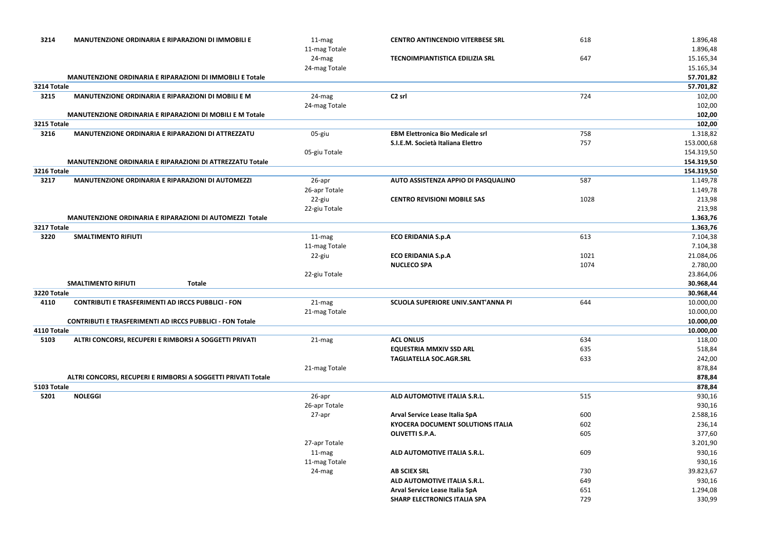| 3214        | <b>MANUTENZIONE ORDINARIA E RIPARAZIONI DI IMMOBILI E</b>        | 11-mag<br>11-mag Totale | <b>CENTRO ANTINCENDIO VITERBESE SRL</b>  | 618  | 1.896,48<br>1.896,48 |
|-------------|------------------------------------------------------------------|-------------------------|------------------------------------------|------|----------------------|
|             |                                                                  | 24-mag                  | <b>TECNOIMPIANTISTICA EDILIZIA SRL</b>   | 647  | 15.165,34            |
|             |                                                                  | 24-mag Totale           |                                          |      | 15.165,34            |
|             | MANUTENZIONE ORDINARIA E RIPARAZIONI DI IMMOBILI E Totale        |                         |                                          |      | 57.701,82            |
| 3214 Totale |                                                                  |                         |                                          |      | 57.701,82            |
| 3215        | MANUTENZIONE ORDINARIA E RIPARAZIONI DI MOBILI E M               | 24-mag                  | C <sub>2</sub> srl                       | 724  | 102,00               |
|             |                                                                  | 24-mag Totale           |                                          |      | 102,00               |
|             | MANUTENZIONE ORDINARIA E RIPARAZIONI DI MOBILI E M Totale        |                         |                                          |      | 102,00               |
| 3215 Totale |                                                                  |                         |                                          |      | 102,00               |
| 3216        | MANUTENZIONE ORDINARIA E RIPARAZIONI DI ATTREZZATU               | 05-giu                  | <b>EBM Elettronica Bio Medicale srl</b>  | 758  | 1.318,82             |
|             |                                                                  |                         | S.I.E.M. Società Italiana Elettro        | 757  | 153.000,68           |
|             |                                                                  | 05-giu Totale           |                                          |      | 154.319,50           |
|             | MANUTENZIONE ORDINARIA E RIPARAZIONI DI ATTREZZATU Totale        |                         |                                          |      | 154.319,50           |
| 3216 Totale |                                                                  |                         |                                          |      | 154.319,50           |
| 3217        | MANUTENZIONE ORDINARIA E RIPARAZIONI DI AUTOMEZZI                | 26-apr                  | AUTO ASSISTENZA APPIO DI PASQUALINO      | 587  | 1.149,78             |
|             |                                                                  | 26-apr Totale           |                                          |      | 1.149,78             |
|             |                                                                  | 22-giu                  | <b>CENTRO REVISIONI MOBILE SAS</b>       | 1028 | 213,98               |
|             |                                                                  | 22-giu Totale           |                                          |      | 213,98               |
|             | MANUTENZIONE ORDINARIA E RIPARAZIONI DI AUTOMEZZI Totale         |                         |                                          |      | 1.363,76             |
| 3217 Totale |                                                                  |                         |                                          |      | 1.363,76             |
| 3220        | <b>SMALTIMENTO RIFIUTI</b>                                       | $11-mag$                | <b>ECO ERIDANIA S.p.A</b>                | 613  | 7.104,38             |
|             |                                                                  | 11-mag Totale           |                                          |      | 7.104,38             |
|             |                                                                  | 22-giu                  | <b>ECO ERIDANIA S.p.A</b>                | 1021 | 21.084,06            |
|             |                                                                  |                         | <b>NUCLECO SPA</b>                       | 1074 | 2.780,00             |
|             |                                                                  | 22-giu Totale           |                                          |      | 23.864,06            |
|             | <b>SMALTIMENTO RIFIUTI</b><br><b>Totale</b>                      |                         |                                          |      | 30.968,44            |
| 3220 Totale |                                                                  |                         |                                          |      | 30.968,44            |
| 4110        | <b>CONTRIBUTI E TRASFERIMENTI AD IRCCS PUBBLICI - FON</b>        | 21-mag                  | SCUOLA SUPERIORE UNIV.SANT'ANNA PI       | 644  | 10.000,00            |
|             |                                                                  | 21-mag Totale           |                                          |      | 10.000,00            |
|             | <b>CONTRIBUTI E TRASFERIMENTI AD IRCCS PUBBLICI - FON Totale</b> |                         |                                          |      | 10.000,00            |
| 4110 Totale |                                                                  |                         |                                          |      | 10.000,00            |
| 5103        | ALTRI CONCORSI, RECUPERI E RIMBORSI A SOGGETTI PRIVATI           | 21-mag                  | <b>ACL ONLUS</b>                         | 634  | 118,00               |
|             |                                                                  |                         | <b>EQUESTRIA MMXIV SSD ARL</b>           | 635  | 518,84               |
|             |                                                                  |                         | <b>TAGLIATELLA SOC.AGR.SRL</b>           | 633  | 242,00               |
|             |                                                                  | 21-mag Totale           |                                          |      | 878,84               |
|             | ALTRI CONCORSI, RECUPERI E RIMBORSI A SOGGETTI PRIVATI Totale    |                         |                                          |      | 878,84               |
| 5103 Totale |                                                                  |                         |                                          |      | 878,84               |
| 5201        | <b>NOLEGGI</b>                                                   | 26-apr                  | ALD AUTOMOTIVE ITALIA S.R.L.             | 515  | 930,16               |
|             |                                                                  | 26-apr Totale           |                                          |      | 930,16               |
|             |                                                                  | 27-apr                  | Arval Service Lease Italia SpA           | 600  | 2.588,16             |
|             |                                                                  |                         | <b>KYOCERA DOCUMENT SOLUTIONS ITALIA</b> | 602  | 236,14               |
|             |                                                                  |                         | OLIVETTI S.P.A.                          | 605  | 377,60               |
|             |                                                                  | 27-apr Totale           |                                          |      | 3.201,90             |
|             |                                                                  | 11-mag                  | ALD AUTOMOTIVE ITALIA S.R.L.             | 609  | 930,16               |
|             |                                                                  | 11-mag Totale           |                                          |      | 930,16               |
|             |                                                                  | 24-mag                  | <b>AB SCIEX SRL</b>                      | 730  | 39.823,67            |
|             |                                                                  |                         | ALD AUTOMOTIVE ITALIA S.R.L.             | 649  | 930,16               |
|             |                                                                  |                         | Arval Service Lease Italia SpA           | 651  | 1.294,08             |
|             |                                                                  |                         | <b>SHARP ELECTRONICS ITALIA SPA</b>      | 729  | 330,99               |
|             |                                                                  |                         |                                          |      |                      |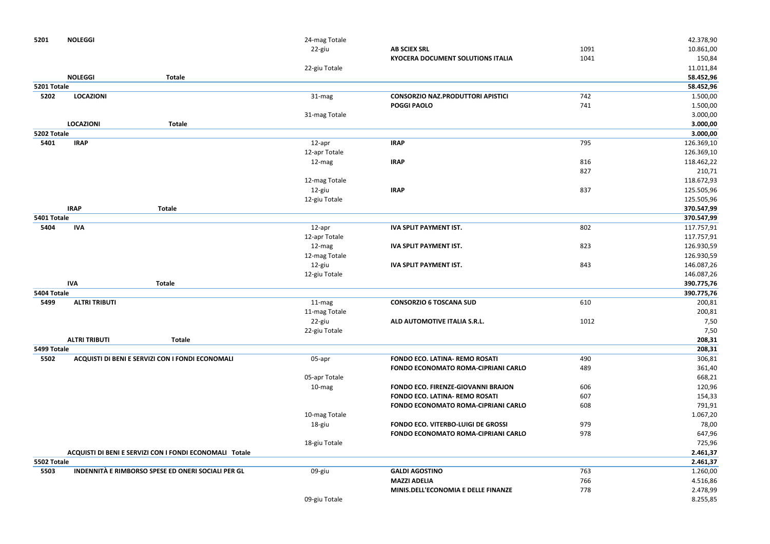| 5201        | <b>NOLEGGI</b>                                          | 24-mag Totale |                                            |      | 42.378,90  |
|-------------|---------------------------------------------------------|---------------|--------------------------------------------|------|------------|
|             |                                                         | 22-giu        | <b>AB SCIEX SRL</b>                        | 1091 | 10.861,00  |
|             |                                                         |               | <b>KYOCERA DOCUMENT SOLUTIONS ITALIA</b>   | 1041 | 150,84     |
|             |                                                         | 22-giu Totale |                                            |      | 11.011,84  |
|             | <b>NOLEGGI</b><br><b>Totale</b>                         |               |                                            |      | 58.452,96  |
| 5201 Totale |                                                         |               |                                            |      | 58.452,96  |
| 5202        | <b>LOCAZIONI</b>                                        | 31-mag        | <b>CONSORZIO NAZ.PRODUTTORI APISTICI</b>   | 742  | 1.500,00   |
|             |                                                         |               | <b>POGGI PAOLO</b>                         | 741  | 1.500,00   |
|             |                                                         | 31-mag Totale |                                            |      | 3.000,00   |
|             | <b>LOCAZIONI</b><br><b>Totale</b>                       |               |                                            |      | 3.000,00   |
| 5202 Totale |                                                         |               |                                            |      | 3.000,00   |
| 5401        | <b>IRAP</b>                                             | 12-apr        | <b>IRAP</b>                                | 795  | 126.369,10 |
|             |                                                         | 12-apr Totale |                                            |      | 126.369,10 |
|             |                                                         | 12-mag        | <b>IRAP</b>                                | 816  | 118.462,22 |
|             |                                                         |               |                                            | 827  | 210,71     |
|             |                                                         | 12-mag Totale |                                            |      | 118.672,93 |
|             |                                                         | 12-giu        | <b>IRAP</b>                                | 837  | 125.505,96 |
|             |                                                         | 12-giu Totale |                                            |      | 125.505,96 |
|             | <b>IRAP</b><br><b>Totale</b>                            |               |                                            |      | 370.547,99 |
| 5401 Totale |                                                         |               |                                            |      | 370.547,99 |
| 5404        | <b>IVA</b>                                              | 12-apr        | <b>IVA SPLIT PAYMENT IST.</b>              | 802  | 117.757,91 |
|             |                                                         | 12-apr Totale |                                            |      | 117.757,91 |
|             |                                                         | 12-mag        | <b>IVA SPLIT PAYMENT IST.</b>              | 823  | 126.930,59 |
|             |                                                         | 12-mag Totale |                                            |      | 126.930,59 |
|             |                                                         | 12-giu        | <b>IVA SPLIT PAYMENT IST.</b>              | 843  | 146.087,26 |
|             |                                                         | 12-giu Totale |                                            |      | 146.087,26 |
|             | <b>IVA</b><br><b>Totale</b>                             |               |                                            |      | 390.775,76 |
| 5404 Totale |                                                         |               |                                            |      | 390.775,76 |
| 5499        | <b>ALTRI TRIBUTI</b>                                    | 11-mag        | <b>CONSORZIO 6 TOSCANA SUD</b>             | 610  | 200,81     |
|             |                                                         | 11-mag Totale |                                            |      | 200,81     |
|             |                                                         | 22-giu        | ALD AUTOMOTIVE ITALIA S.R.L.               | 1012 | 7,50       |
|             |                                                         | 22-giu Totale |                                            |      | 7,50       |
|             | <b>ALTRI TRIBUTI</b><br><b>Totale</b>                   |               |                                            |      | 208,31     |
| 5499 Totale |                                                         |               |                                            |      | 208,31     |
| 5502        | ACQUISTI DI BENI E SERVIZI CON I FONDI ECONOMALI        | 05-apr        | <b>FONDO ECO. LATINA- REMO ROSATI</b>      | 490  | 306,81     |
|             |                                                         |               | <b>FONDO ECONOMATO ROMA-CIPRIANI CARLO</b> | 489  | 361,40     |
|             |                                                         | 05-apr Totale |                                            |      | 668,21     |
|             |                                                         | 10-mag        | <b>FONDO ECO. FIRENZE-GIOVANNI BRAJON</b>  | 606  | 120,96     |
|             |                                                         |               | <b>FONDO ECO. LATINA- REMO ROSATI</b>      | 607  | 154,33     |
|             |                                                         |               | <b>FONDO ECONOMATO ROMA-CIPRIANI CARLO</b> | 608  | 791,91     |
|             |                                                         | 10-mag Totale |                                            |      | 1.067,20   |
|             |                                                         | 18-giu        | FONDO ECO. VITERBO-LUIGI DE GROSSI         | 979  | 78,00      |
|             |                                                         |               | FONDO ECONOMATO ROMA-CIPRIANI CARLO        | 978  | 647,96     |
|             |                                                         | 18-giu Totale |                                            |      | 725,96     |
|             | ACQUISTI DI BENI E SERVIZI CON I FONDI ECONOMALI Totale |               |                                            |      | 2.461,37   |
| 5502 Totale |                                                         |               |                                            |      | 2.461,37   |
| 5503        | INDENNITÀ E RIMBORSO SPESE ED ONERI SOCIALI PER GL      | 09-giu        | <b>GALDI AGOSTINO</b>                      | 763  | 1.260,00   |
|             |                                                         |               | <b>MAZZI ADELIA</b>                        | 766  | 4.516,86   |
|             |                                                         |               | MINIS.DELL'ECONOMIA E DELLE FINANZE        | 778  | 2.478,99   |
|             |                                                         | 09-giu Totale |                                            |      | 8.255,85   |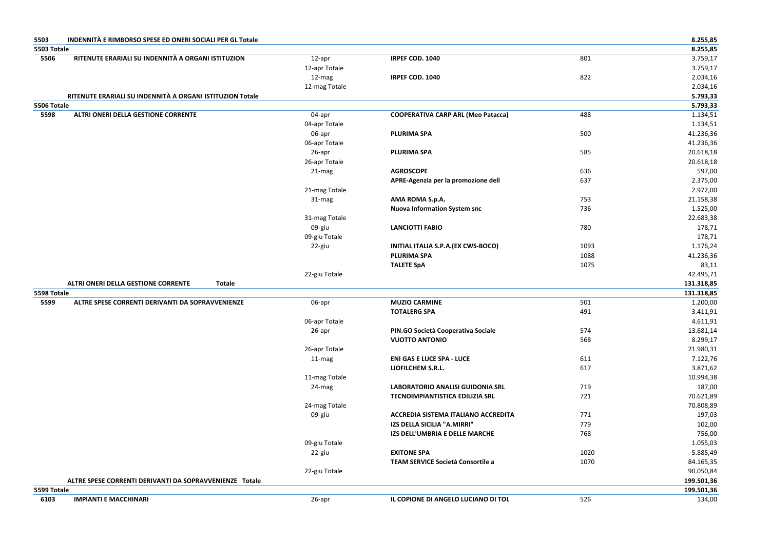|             | INDENNITÀ E RIMBORSO SPESE ED ONERI SOCIALI PER GL Totale |               |                                            |      | 8.255,85                                                                                                    |
|-------------|-----------------------------------------------------------|---------------|--------------------------------------------|------|-------------------------------------------------------------------------------------------------------------|
| 5503 Totale |                                                           |               |                                            |      | 8.255,85                                                                                                    |
| 5506        | RITENUTE ERARIALI SU INDENNITÀ A ORGANI ISTITUZION        | 12-apr        | IRPEF COD. 1040                            | 801  | 3.759,17                                                                                                    |
|             |                                                           | 12-apr Totale |                                            |      | 3.759,17                                                                                                    |
|             |                                                           | 12-mag        | IRPEF COD. 1040                            | 822  | 2.034,16                                                                                                    |
|             |                                                           | 12-mag Totale |                                            |      | 2.034,16                                                                                                    |
|             | RITENUTE ERARIALI SU INDENNITÀ A ORGANI ISTITUZION Totale |               |                                            |      | 5.793,33                                                                                                    |
| 5506 Totale |                                                           |               |                                            |      | 5.793,33                                                                                                    |
| 5598        | ALTRI ONERI DELLA GESTIONE CORRENTE                       | 04-apr        | <b>COOPERATIVA CARP ARL (Meo Patacca)</b>  | 488  | 1.134,51                                                                                                    |
|             |                                                           | 04-apr Totale |                                            |      | 1.134,51                                                                                                    |
|             |                                                           | 06-apr        | <b>PLURIMA SPA</b>                         | 500  | 41.236,36                                                                                                   |
|             |                                                           | 06-apr Totale |                                            |      | 41.236,36                                                                                                   |
|             |                                                           | 26-apr        | <b>PLURIMA SPA</b>                         | 585  | 20.618,18                                                                                                   |
|             |                                                           | 26-apr Totale |                                            |      | 20.618,18                                                                                                   |
|             |                                                           | 21-mag        | <b>AGROSCOPE</b>                           | 636  | 597,00                                                                                                      |
|             |                                                           |               | APRE-Agenzia per la promozione dell        | 637  | 2.375,00                                                                                                    |
|             |                                                           | 21-mag Totale |                                            |      | 2.972,00                                                                                                    |
|             |                                                           | 31-mag        | AMA ROMA S.p.A.                            | 753  | 21.158,38                                                                                                   |
|             |                                                           |               | <b>Nuova Information System snc</b>        | 736  | 1.525,00                                                                                                    |
|             |                                                           | 31-mag Totale |                                            |      | 22.683,38                                                                                                   |
|             |                                                           | 09-giu        | <b>LANCIOTTI FABIO</b>                     | 780  | 178,71                                                                                                      |
|             |                                                           | 09-giu Totale |                                            |      | 178,71                                                                                                      |
|             |                                                           | 22-giu        | <b>INITIAL ITALIA S.P.A. (EX CWS-BOCO)</b> | 1093 | 1.176,24                                                                                                    |
|             |                                                           |               | <b>PLURIMA SPA</b>                         | 1088 | 41.236,36                                                                                                   |
|             |                                                           |               |                                            |      |                                                                                                             |
|             |                                                           |               | <b>TALETE SpA</b>                          | 1075 |                                                                                                             |
|             |                                                           | 22-giu Totale |                                            |      |                                                                                                             |
|             | ALTRI ONERI DELLA GESTIONE CORRENTE<br><b>Totale</b>      |               |                                            |      |                                                                                                             |
| 5598 Totale |                                                           |               |                                            |      |                                                                                                             |
| 5599        | ALTRE SPESE CORRENTI DERIVANTI DA SOPRAVVENIENZE          | 06-apr        | <b>MUZIO CARMINE</b>                       | 501  |                                                                                                             |
|             |                                                           |               | <b>TOTALERG SPA</b>                        | 491  |                                                                                                             |
|             |                                                           | 06-apr Totale |                                            |      |                                                                                                             |
|             |                                                           | 26-apr        | PIN.GO Società Cooperativa Sociale         | 574  |                                                                                                             |
|             |                                                           |               | <b>VUOTTO ANTONIO</b>                      | 568  | 83,11<br>42.495,71<br>131.318,85<br>131.318,85<br>1.200,00<br>3.411,91<br>4.611,91<br>13.681,14<br>8.299,17 |
|             |                                                           | 26-apr Totale |                                            |      |                                                                                                             |
|             |                                                           | 11-mag        | <b>ENI GAS E LUCE SPA - LUCE</b>           | 611  |                                                                                                             |
|             |                                                           |               | LIOFILCHEM S.R.L.                          | 617  | 21.980,31<br>7.122,76<br>3.871,62                                                                           |
|             |                                                           | 11-mag Totale |                                            |      | 10.994,38                                                                                                   |
|             |                                                           | 24-mag        | <b>LABORATORIO ANALISI GUIDONIA SRL</b>    | 719  | 187,00                                                                                                      |
|             |                                                           |               | <b>TECNOIMPIANTISTICA EDILIZIA SRL</b>     | 721  | 70.621,89                                                                                                   |
|             |                                                           | 24-mag Totale |                                            |      | 70.808,89                                                                                                   |
|             |                                                           | 09-giu        | ACCREDIA SISTEMA ITALIANO ACCREDITA        | 771  | 197,03                                                                                                      |
|             |                                                           |               | IZS DELLA SICILIA "A.MIRRI"                | 779  | 102,00                                                                                                      |
|             |                                                           |               | IZS DELL'UMBRIA E DELLE MARCHE             | 768  | 756,00                                                                                                      |
|             |                                                           | 09-giu Totale |                                            |      | 1.055,03                                                                                                    |
|             |                                                           |               | <b>EXITONE SPA</b>                         | 1020 | 5.885,49                                                                                                    |
|             |                                                           | 22-giu        | TEAM SERVICE Società Consortile a          | 1070 |                                                                                                             |
|             |                                                           |               |                                            |      |                                                                                                             |
|             | ALTRE SPESE CORRENTI DERIVANTI DA SOPRAVVENIENZE Totale   | 22-giu Totale |                                            |      | 84.165,35<br>90.050,84                                                                                      |
| 5599 Totale |                                                           |               |                                            |      | 199.501,36<br>199.501,36                                                                                    |